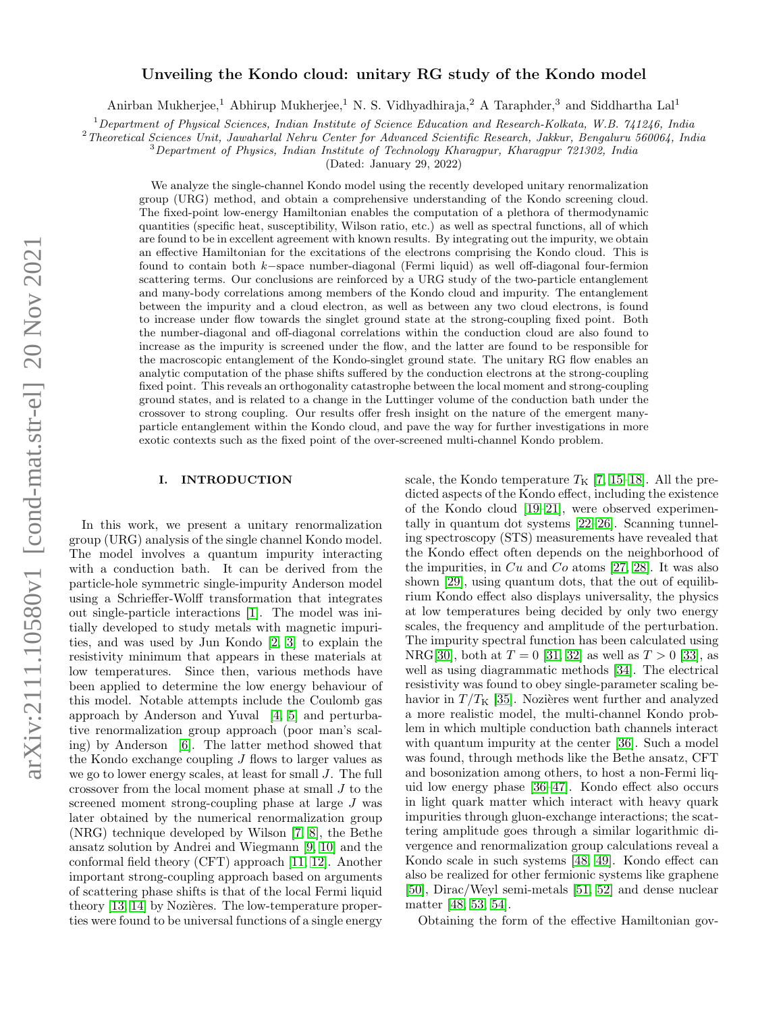# Unveiling the Kondo cloud: unitary RG study of the Kondo model

Anirban Mukherjee,<sup>1</sup> Abhirup Mukherjee,<sup>1</sup> N. S. Vidhyadhiraja,<sup>2</sup> A Taraphder,<sup>3</sup> and Siddhartha Lal<sup>1</sup>

<sup>1</sup>Department of Physical Sciences, Indian Institute of Science Education and Research-Kolkata, W.B. 741246, India

<sup>2</sup>Theoretical Sciences Unit, Jawaharlal Nehru Center for Advanced Scientific Research, Jakkur, Bengaluru 560064, India

<sup>3</sup>Department of Physics, Indian Institute of Technology Kharagpur, Kharagpur 721302, India

(Dated: January 29, 2022)

We analyze the single-channel Kondo model using the recently developed unitary renormalization group (URG) method, and obtain a comprehensive understanding of the Kondo screening cloud. The fixed-point low-energy Hamiltonian enables the computation of a plethora of thermodynamic quantities (specific heat, susceptibility, Wilson ratio, etc.) as well as spectral functions, all of which are found to be in excellent agreement with known results. By integrating out the impurity, we obtain an effective Hamiltonian for the excitations of the electrons comprising the Kondo cloud. This is found to contain both k−space number-diagonal (Fermi liquid) as well off-diagonal four-fermion scattering terms. Our conclusions are reinforced by a URG study of the two-particle entanglement and many-body correlations among members of the Kondo cloud and impurity. The entanglement between the impurity and a cloud electron, as well as between any two cloud electrons, is found to increase under flow towards the singlet ground state at the strong-coupling fixed point. Both the number-diagonal and off-diagonal correlations within the conduction cloud are also found to increase as the impurity is screened under the flow, and the latter are found to be responsible for the macroscopic entanglement of the Kondo-singlet ground state. The unitary RG flow enables an analytic computation of the phase shifts suffered by the conduction electrons at the strong-coupling fixed point. This reveals an orthogonality catastrophe between the local moment and strong-coupling ground states, and is related to a change in the Luttinger volume of the conduction bath under the crossover to strong coupling. Our results offer fresh insight on the nature of the emergent manyparticle entanglement within the Kondo cloud, and pave the way for further investigations in more exotic contexts such as the fixed point of the over-screened multi-channel Kondo problem.

## I. INTRODUCTION

In this work, we present a unitary renormalization group (URG) analysis of the single channel Kondo model. The model involves a quantum impurity interacting with a conduction bath. It can be derived from the particle-hole symmetric single-impurity Anderson model using a Schrieffer-Wolff transformation that integrates out single-particle interactions [\[1\]](#page-15-0). The model was initially developed to study metals with magnetic impurities, and was used by Jun Kondo [\[2,](#page-15-1) [3\]](#page-15-2) to explain the resistivity minimum that appears in these materials at low temperatures. Since then, various methods have been applied to determine the low energy behaviour of this model. Notable attempts include the Coulomb gas approach by Anderson and Yuval [\[4,](#page-15-3) [5\]](#page-15-4) and perturbative renormalization group approach (poor man's scaling) by Anderson [\[6\]](#page-15-5). The latter method showed that the Kondo exchange coupling  $J$  flows to larger values as we go to lower energy scales, at least for small J. The full crossover from the local moment phase at small J to the screened moment strong-coupling phase at large J was later obtained by the numerical renormalization group (NRG) technique developed by Wilson [\[7,](#page-15-6) [8\]](#page-15-7), the Bethe ansatz solution by Andrei and Wiegmann [\[9,](#page-15-8) [10\]](#page-15-9) and the conformal field theory (CFT) approach [\[11,](#page-15-10) [12\]](#page-15-11). Another important strong-coupling approach based on arguments of scattering phase shifts is that of the local Fermi liquid theory  $[13, 14]$  $[13, 14]$  by Nozières. The low-temperature properties were found to be universal functions of a single energy

scale, the Kondo temperature  $T_K$  [\[7,](#page-15-6) [15](#page-15-14)[–18\]](#page-15-15). All the predicted aspects of the Kondo effect, including the existence of the Kondo cloud [\[19–](#page-15-16)[21\]](#page-15-17), were observed experimentally in quantum dot systems [\[22](#page-15-18)[–26\]](#page-15-19). Scanning tunneling spectroscopy (STS) measurements have revealed that the Kondo effect often depends on the neighborhood of the impurities, in  $Cu$  and  $Co$  atoms [\[27,](#page-15-20) [28\]](#page-15-21). It was also shown [\[29\]](#page-15-22), using quantum dots, that the out of equilibrium Kondo effect also displays universality, the physics at low temperatures being decided by only two energy scales, the frequency and amplitude of the perturbation. The impurity spectral function has been calculated using NRG[\[30\]](#page-15-23), both at  $T = 0$  [\[31,](#page-15-24) [32\]](#page-15-25) as well as  $T > 0$  [\[33\]](#page-15-26), as well as using diagrammatic methods [\[34\]](#page-15-27). The electrical resistivity was found to obey single-parameter scaling behavior in  $T/T_K$  [\[35\]](#page-15-28). Nozières went further and analyzed a more realistic model, the multi-channel Kondo problem in which multiple conduction bath channels interact with quantum impurity at the center [\[36\]](#page-15-29). Such a model was found, through methods like the Bethe ansatz, CFT and bosonization among others, to host a non-Fermi liquid low energy phase [\[36](#page-15-29)[–47\]](#page-16-0). Kondo effect also occurs in light quark matter which interact with heavy quark impurities through gluon-exchange interactions; the scattering amplitude goes through a similar logarithmic divergence and renormalization group calculations reveal a Kondo scale in such systems [\[48,](#page-16-1) [49\]](#page-16-2). Kondo effect can also be realized for other fermionic systems like graphene [\[50\]](#page-16-3), Dirac/Weyl semi-metals [\[51,](#page-16-4) [52\]](#page-16-5) and dense nuclear matter [\[48,](#page-16-1) [53,](#page-16-6) [54\]](#page-16-7).

Obtaining the form of the effective Hamiltonian gov-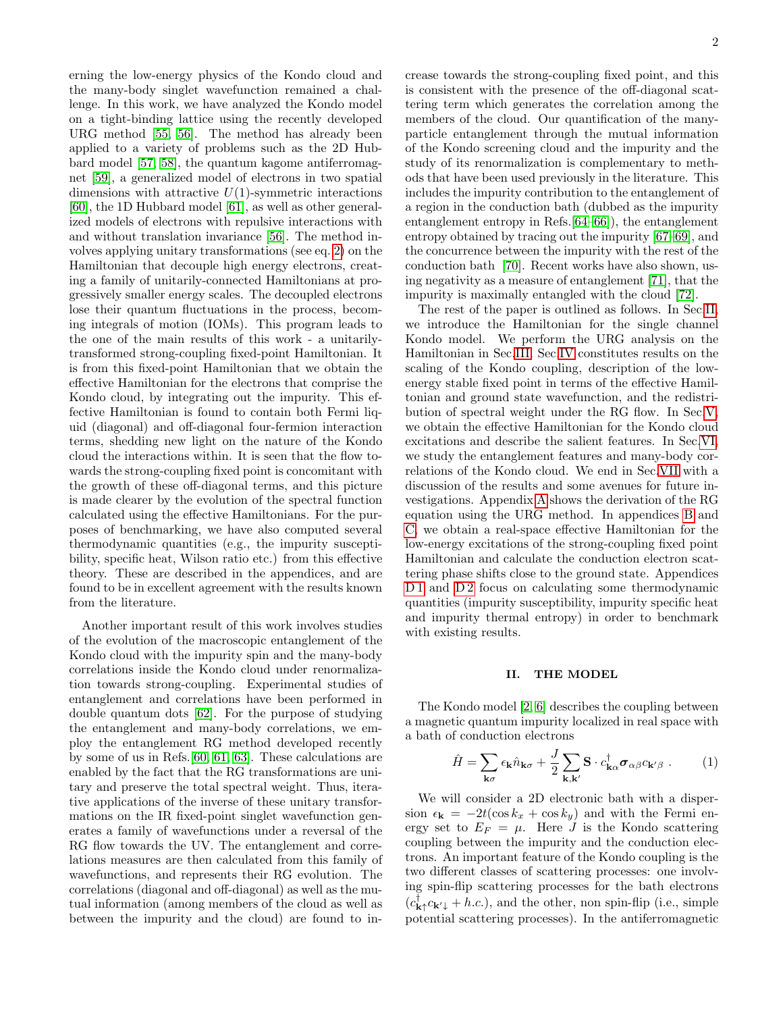erning the low-energy physics of the Kondo cloud and the many-body singlet wavefunction remained a challenge. In this work, we have analyzed the Kondo model on a tight-binding lattice using the recently developed URG method [\[55,](#page-16-8) [56\]](#page-16-9). The method has already been applied to a variety of problems such as the 2D Hubbard model [\[57,](#page-16-10) [58\]](#page-16-11), the quantum kagome antiferromagnet [\[59\]](#page-16-12), a generalized model of electrons in two spatial dimensions with attractive  $U(1)$ -symmetric interactions [\[60\]](#page-16-13), the 1D Hubbard model [\[61\]](#page-16-14), as well as other generalized models of electrons with repulsive interactions with and without translation invariance [\[56\]](#page-16-9). The method involves applying unitary transformations (see eq. [2\)](#page-2-0) on the Hamiltonian that decouple high energy electrons, creating a family of unitarily-connected Hamiltonians at progressively smaller energy scales. The decoupled electrons lose their quantum fluctuations in the process, becoming integrals of motion (IOMs). This program leads to the one of the main results of this work - a unitarilytransformed strong-coupling fixed-point Hamiltonian. It is from this fixed-point Hamiltonian that we obtain the effective Hamiltonian for the electrons that comprise the Kondo cloud, by integrating out the impurity. This effective Hamiltonian is found to contain both Fermi liquid (diagonal) and off-diagonal four-fermion interaction terms, shedding new light on the nature of the Kondo cloud the interactions within. It is seen that the flow towards the strong-coupling fixed point is concomitant with the growth of these off-diagonal terms, and this picture is made clearer by the evolution of the spectral function calculated using the effective Hamiltonians. For the purposes of benchmarking, we have also computed several thermodynamic quantities (e.g., the impurity susceptibility, specific heat, Wilson ratio etc.) from this effective theory. These are described in the appendices, and are found to be in excellent agreement with the results known from the literature.

Another important result of this work involves studies of the evolution of the macroscopic entanglement of the Kondo cloud with the impurity spin and the many-body correlations inside the Kondo cloud under renormalization towards strong-coupling. Experimental studies of entanglement and correlations have been performed in double quantum dots [\[62\]](#page-16-15). For the purpose of studying the entanglement and many-body correlations, we employ the entanglement RG method developed recently by some of us in Refs.[\[60,](#page-16-13) [61,](#page-16-14) [63\]](#page-16-16). These calculations are enabled by the fact that the RG transformations are unitary and preserve the total spectral weight. Thus, iterative applications of the inverse of these unitary transformations on the IR fixed-point singlet wavefunction generates a family of wavefunctions under a reversal of the RG flow towards the UV. The entanglement and correlations measures are then calculated from this family of wavefunctions, and represents their RG evolution. The correlations (diagonal and off-diagonal) as well as the mutual information (among members of the cloud as well as between the impurity and the cloud) are found to increase towards the strong-coupling fixed point, and this is consistent with the presence of the off-diagonal scattering term which generates the correlation among the members of the cloud. Our quantification of the manyparticle entanglement through the mutual information of the Kondo screening cloud and the impurity and the study of its renormalization is complementary to methods that have been used previously in the literature. This includes the impurity contribution to the entanglement of a region in the conduction bath (dubbed as the impurity entanglement entropy in Refs.[\[64–](#page-16-17)[66\]](#page-16-18)), the entanglement entropy obtained by tracing out the impurity [\[67–](#page-16-19)[69\]](#page-16-20), and the concurrence between the impurity with the rest of the conduction bath [\[70\]](#page-16-21). Recent works have also shown, using negativity as a measure of entanglement [\[71\]](#page-16-22), that the impurity is maximally entangled with the cloud [\[72\]](#page-16-23).

The rest of the paper is outlined as follows. In Sec[.II,](#page-1-0) we introduce the Hamiltonian for the single channel Kondo model. We perform the URG analysis on the Hamiltonian in Sec[.III.](#page-2-1) Sec[.IV](#page-3-0) constitutes results on the scaling of the Kondo coupling, description of the lowenergy stable fixed point in terms of the effective Hamiltonian and ground state wavefunction, and the redistribution of spectral weight under the RG flow. In Sec[.V,](#page-6-0) we obtain the effective Hamiltonian for the Kondo cloud excitations and describe the salient features. In Sec[.VI,](#page-7-0) we study the entanglement features and many-body correlations of the Kondo cloud. We end in Sec[.VII](#page-8-0) with a discussion of the results and some avenues for future investigations. Appendix [A](#page-9-0) shows the derivation of the RG equation using the URG method. In appendices [B](#page-11-0) and [C,](#page-11-1) we obtain a real-space effective Hamiltonian for the low-energy excitations of the strong-coupling fixed point Hamiltonian and calculate the conduction electron scattering phase shifts close to the ground state. Appendices [D 1](#page-12-0) and [D 2](#page-14-0) focus on calculating some thermodynamic quantities (impurity susceptibility, impurity specific heat and impurity thermal entropy) in order to benchmark with existing results.

## <span id="page-1-0"></span>II. THE MODEL

The Kondo model [\[2,](#page-15-1) [6\]](#page-15-5) describes the coupling between a magnetic quantum impurity localized in real space with a bath of conduction electrons

<span id="page-1-1"></span>
$$
\hat{H} = \sum_{\mathbf{k}\sigma} \epsilon_{\mathbf{k}} \hat{n}_{\mathbf{k}\sigma} + \frac{J}{2} \sum_{\mathbf{k}, \mathbf{k}'} \mathbf{S} \cdot c_{\mathbf{k}\alpha}^{\dagger} \boldsymbol{\sigma}_{\alpha\beta} c_{\mathbf{k}'\beta} . \tag{1}
$$

We will consider a 2D electronic bath with a dispersion  $\epsilon_{\mathbf{k}} = -2t(\cos k_x + \cos k_y)$  and with the Fermi energy set to  $E_F = \mu$ . Here J is the Kondo scattering coupling between the impurity and the conduction electrons. An important feature of the Kondo coupling is the two different classes of scattering processes: one involving spin-flip scattering processes for the bath electrons  $(c_{\mathbf{k}\uparrow}^{\dagger}c_{\mathbf{k}'\downarrow}+h.c.),$  and the other, non spin-flip (i.e., simple potential scattering processes). In the antiferromagnetic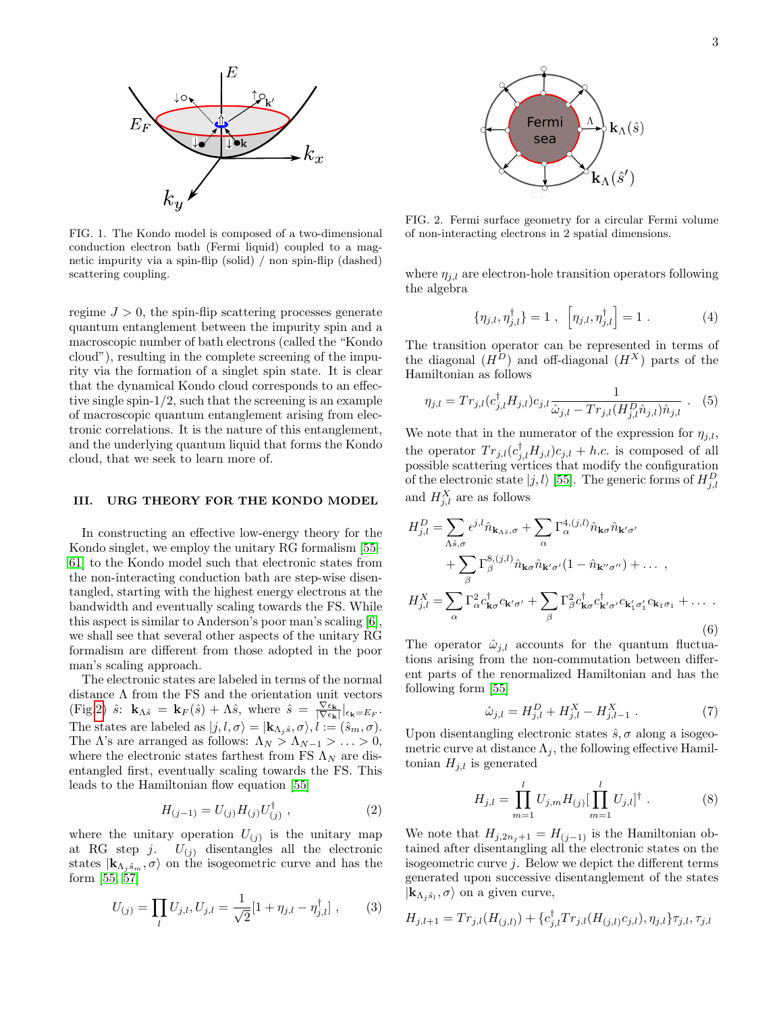

FIG. 1. The Kondo model is composed of a two-dimensional conduction electron bath (Fermi liquid) coupled to a magnetic impurity via a spin-flip (solid) / non spin-flip (dashed) scattering coupling.

regime  $J > 0$ , the spin-flip scattering processes generate quantum entanglement between the impurity spin and a macroscopic number of bath electrons (called the "Kondo cloud"), resulting in the complete screening of the impurity via the formation of a singlet spin state. It is clear that the dynamical Kondo cloud corresponds to an effective single spin- $1/2$ , such that the screening is an example of macroscopic quantum entanglement arising from electronic correlations. It is the nature of this entanglement, and the underlying quantum liquid that forms the Kondo cloud, that we seek to learn more of.

#### <span id="page-2-1"></span>III. URG THEORY FOR THE KONDO MODEL

In constructing an effective low-energy theory for the Kondo singlet, we employ the unitary RG formalism [\[55–](#page-16-8) [61\]](#page-16-14) to the Kondo model such that electronic states from the non-interacting conduction bath are step-wise disentangled, starting with the highest energy electrons at the bandwidth and eventually scaling towards the FS. While this aspect is similar to Anderson's poor man's scaling [\[6\]](#page-15-5), we shall see that several other aspects of the unitary RG formalism are different from those adopted in the poor man's scaling approach.

The electronic states are labeled in terms of the normal distance Λ from the FS and the orientation unit vectors (Fig[.2\)](#page-2-2)  $\hat{s}$ :  $\mathbf{k}_{\Lambda \hat{s}} = \mathbf{k}_{F}(\hat{s}) + \Lambda \hat{s}$ , where  $\hat{s} = \frac{\nabla \epsilon_{\mathbf{k}}}{|\nabla \epsilon_{\mathbf{k}}|} \vert_{\epsilon_{\mathbf{k}} = E_{F}}$ . The states are labeled as  $|j, l, \sigma\rangle = |\mathbf{k}_{\Lambda_i \hat{s}}, \sigma\rangle, l := (\hat{s}_m, \sigma)$ . The  $\Lambda$ 's are arranged as follows:  $\Lambda_N > \Lambda_{N-1} > \ldots > 0$ , where the electronic states farthest from FS  $\Lambda_N$  are disentangled first, eventually scaling towards the FS. This leads to the Hamiltonian flow equation [\[55\]](#page-16-8)

<span id="page-2-0"></span>
$$
H_{(j-1)} = U_{(j)} H_{(j)} U_{(j)}^{\dagger} , \qquad (2)
$$

where the unitary operation  $U_{(j)}$  is the unitary map at RG step j.  $U_{(j)}$  disentangles all the electronic states  $|{\bf k}_{\Lambda_j {\hat s}_m}, \sigma \rangle$  on the isogeometric curve and has the form [\[55,](#page-16-8) [57\]](#page-16-10)

$$
U_{(j)} = \prod_{l} U_{j,l}, U_{j,l} = \frac{1}{\sqrt{2}} [1 + \eta_{j,l} - \eta_{j,l}^{\dagger}], \qquad (3)
$$



<span id="page-2-2"></span>FIG. 2. Fermi surface geometry for a circular Fermi volume of non-interacting electrons in 2 spatial dimensions.

where  $\eta_{j,l}$  are electron-hole transition operators following the algebra

$$
\{\eta_{j,l}, \eta_{j,l}^{\dagger}\} = 1 \; , \; \left[\eta_{j,l}, \eta_{j,l}^{\dagger}\right] = 1 \; . \tag{4}
$$

The transition operator can be represented in terms of the diagonal  $(H^D)$  and off-diagonal  $(H^X)$  parts of the Hamiltonian as follows

$$
\eta_{j,l} = Tr_{j,l} (c_{j,l}^{\dagger} H_{j,l}) c_{j,l} \frac{1}{\hat{\omega}_{j,l} - Tr_{j,l} (H_{j,l}^D \hat{n}_{j,l}) \hat{n}_{j,l}} .
$$
 (5)

We note that in the numerator of the expression for  $\eta_{j,l}$ , the operator  $Tr_{j,l}(c_{j,l}^{\dagger}H_{j,l})c_{j,l} + h.c.$  is composed of all possible scattering vertices that modify the configuration of the electronic state  $|j, l\rangle$  [\[55\]](#page-16-8). The generic forms of  $H_{j,l}^D$ and  $H_{j,l}^X$  are as follows

$$
H_{j,l}^{D} = \sum_{\Lambda \hat{s},\sigma} \epsilon^{j,l} \hat{n}_{\mathbf{k}_{\Lambda \hat{s}},\sigma} + \sum_{\alpha} \Gamma_{\alpha}^{4,(j,l)} \hat{n}_{\mathbf{k}\sigma} \hat{n}_{\mathbf{k}'\sigma'}
$$
  
+ 
$$
\sum_{\beta} \Gamma_{\beta}^{8,(j,l)} \hat{n}_{\mathbf{k}\sigma} \hat{n}_{\mathbf{k}'\sigma'} (1 - \hat{n}_{\mathbf{k}''\sigma''}) + \dots ,
$$
  

$$
H_{j,l}^{X} = \sum_{\alpha} \Gamma_{\alpha}^{2} c_{\mathbf{k}\sigma}^{\dagger} c_{\mathbf{k}'\sigma'} + \sum_{\beta} \Gamma_{\beta}^{2} c_{\mathbf{k}\sigma}^{\dagger} c_{\mathbf{k}'\sigma'}^{\dagger} c_{\mathbf{k}'\sigma'}^{\dagger} c_{\mathbf{k}_{1}\sigma_{1}} + \dots .
$$
  
(6)

The operator  $\hat{\omega}_{j,l}$  accounts for the quantum fluctuations arising from the non-commutation between different parts of the renormalized Hamiltonian and has the following form [\[55\]](#page-16-8)

<span id="page-2-3"></span>
$$
\hat{\omega}_{j,l} = H_{j,l}^D + H_{j,l}^X - H_{j,l-1}^X . \tag{7}
$$

Upon disentangling electronic states  $\hat{s}$ ,  $\sigma$  along a isogeometric curve at distance  $\Lambda_i$ , the following effective Hamiltonian  $H_{j,l}$  is generated

$$
H_{j,l} = \prod_{m=1}^{l} U_{j,m} H_{(j)} \left[ \prod_{m=1}^{l} U_{j,l} \right]^{\dagger} . \tag{8}
$$

We note that  $H_{j,2n_j+1} = H_{(j-1)}$  is the Hamiltonian obtained after disentangling all the electronic states on the isogeometric curve  $j$ . Below we depict the different terms generated upon successive disentanglement of the states  $|\mathbf{k}_{\Lambda_j \hat{s}_l}, \sigma \rangle$  on a given curve,

$$
H_{j,l+1} = Tr_{j,l}(H_{(j,l)}) + \{c_{j,l}^{\dagger}Tr_{j,l}(H_{(j,l)}c_{j,l}), \eta_{j,l}\}\tau_{j,l}, \tau_{j,l}
$$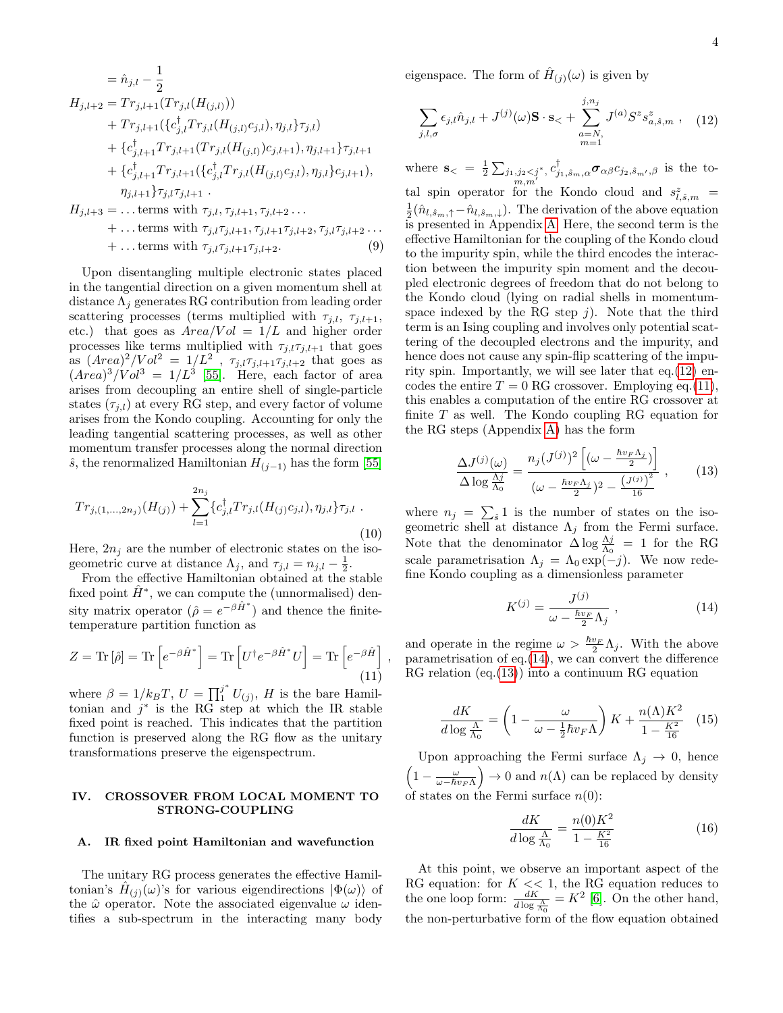$$
= \hat{n}_{j,l} - \frac{1}{2}
$$
  
\n
$$
H_{j,l+2} = Tr_{j,l+1}(Tr_{j,l}(H_{(j,l)}))
$$
  
\n
$$
+ Tr_{j,l+1}(\{c_{j,l}^{\dagger}Tr_{j,l}(H_{(j,l)}c_{j,l}), \eta_{j,l}\}\tau_{j,l})
$$
  
\n
$$
+ \{c_{j,l+1}^{\dagger}Tr_{j,l+1}(Tr_{j,l}(H_{(j,l)})c_{j,l+1}), \eta_{j,l+1}\}\tau_{j,l+1}
$$
  
\n
$$
+ \{c_{j,l+1}^{\dagger}Tr_{j,l+1}(\{c_{j,l}^{\dagger}Tr_{j,l}(H_{(j,l)}c_{j,l}), \eta_{j,l}\}c_{j,l+1}),
$$
  
\n
$$
\eta_{j,l+1}\}\tau_{j,l}\tau_{j,l+1}.
$$
  
\n
$$
H_{j,l+3} = ... \text{terms with } \tau_{j,l}, \tau_{j,l+1}, \tau_{j,l+2}...
$$

$$
+ \dots \text{terms with } \tau_{j,l}\tau_{j,l+1}, \tau_{j,l+1}\tau_{j,l+2}, \tau_{j,l}\tau_{j,l+2} \dots
$$
  

$$
+ \dots \text{terms with } \tau_{j,l}\tau_{j,l+1}\tau_{j,l+2}. \tag{9}
$$

Upon disentangling multiple electronic states placed in the tangential direction on a given momentum shell at distance  $\Lambda_i$  generates RG contribution from leading order scattering processes (terms multiplied with  $\tau_{j,l}, \tau_{j,l+1}$ , etc.) that goes as  $Area/Vol = 1/L$  and higher order processes like terms multiplied with  $\tau_{j,l}\tau_{j,l+1}$  that goes as  $(Area)^{2}/Vol^{2} = 1/L^{2}$ ,  $\tau_{j,l}\tau_{j,l+1}\tau_{j,l+2}$  that goes as  $(Area)^{3}/Vol^{3} = 1/L^{3}$  [\[55\]](#page-16-8). Here, each factor of area arises from decoupling an entire shell of single-particle states  $(\tau_{j,l})$  at every RG step, and every factor of volume arises from the Kondo coupling. Accounting for only the leading tangential scattering processes, as well as other momentum transfer processes along the normal direction  $\hat{s}$ , the renormalized Hamiltonian  $H_{(j-1)}$  has the form [\[55\]](#page-16-8)

<span id="page-3-5"></span>
$$
Tr_{j,(1,...,2n_j)}(H_{(j)}) + \sum_{l=1}^{2n_j} \{c_{j,l}^{\dagger} Tr_{j,l}(H_{(j)}c_{j,l}), \eta_{j,l}\}\tau_{j,l}.
$$
\n(10)

Here,  $2n_j$  are the number of electronic states on the isogeometric curve at distance  $\Lambda_j$ , and  $\tau_{j,l} = n_{j,l} - \frac{1}{2}$ .

From the effective Hamiltonian obtained at the stable fixed point  $\hat{H}^*$ , we can compute the (unnormalised) density matrix operator  $(\hat{\rho} = e^{-\beta \hat{H}^*})$  and thence the finitetemperature partition function as

<span id="page-3-2"></span>
$$
Z = \text{Tr} \left[ \hat{\rho} \right] = \text{Tr} \left[ e^{-\beta \hat{H}^*} \right] = \text{Tr} \left[ U^{\dagger} e^{-\beta \hat{H}^*} U \right] = \text{Tr} \left[ e^{-\beta \hat{H}} \right] \tag{11}
$$

,

where  $\beta = 1/k_B T$ ,  $U = \prod_1^{j^*} U_{(j)}$ , H is the bare Hamiltonian and  $j^*$  is the RG step at which the IR stable fixed point is reached. This indicates that the partition function is preserved along the RG flow as the unitary transformations preserve the eigenspectrum.

### <span id="page-3-0"></span>IV. CROSSOVER FROM LOCAL MOMENT TO STRONG-COUPLING

#### A. IR fixed point Hamiltonian and wavefunction

The unitary RG process generates the effective Hamiltonian's  $\hat{H}_{(j)}(\omega)$ 's for various eigendirections  $|\Phi(\omega)\rangle$  of the  $\hat{\omega}$  operator. Note the associated eigenvalue  $\omega$  identifies a sub-spectrum in the interacting many body

eigenspace. The form of  $\hat{H}_{(j)}(\omega)$  is given by

<span id="page-3-1"></span>
$$
\sum_{j,l,\sigma} \epsilon_{j,l} \hat{n}_{j,l} + J^{(j)}(\omega) \mathbf{S} \cdot \mathbf{s}_{<} + \sum_{\substack{a=N, \\ m=1}}^{j,n_j} J^{(a)} S^z s_{a,\hat{s},m}^z \ , \quad (12)
$$

where  $\mathbf{s}_{\le} = \frac{1}{2} \sum_{\substack{j_1, j_2 \leq j^* \\ m, m'}}$  $c_{j_1,\hat{s}_m,\alpha}^{\dagger} \boldsymbol{\sigma}_{\alpha\beta} c_{j_2,\hat{s}_{m'},\beta}$  is the total spin operator for the Kondo cloud and  $s_{l, \hat{s},m}^z =$  $\frac{1}{2}(\hat{n}_{l,\hat{s}_m,\uparrow}-\hat{n}_{l,\hat{s}_m,\downarrow}).$  The derivation of the above equation is presented in Appendix [A.](#page-9-0) Here, the second term is the effective Hamiltonian for the coupling of the Kondo cloud to the impurity spin, while the third encodes the interaction between the impurity spin moment and the decoupled electronic degrees of freedom that do not belong to the Kondo cloud (lying on radial shells in momentumspace indexed by the RG step  $j$ ). Note that the third term is an Ising coupling and involves only potential scattering of the decoupled electrons and the impurity, and hence does not cause any spin-flip scattering of the impurity spin. Importantly, we will see later that eq.[\(12\)](#page-3-1) encodes the entire  $T = 0$  RG crossover. Employing eq.[\(11\)](#page-3-2), this enables a computation of the entire RG crossover at finite  $T$  as well. The Kondo coupling RG equation for the RG steps (Appendix [A\)](#page-9-0) has the form

<span id="page-3-4"></span>
$$
\frac{\Delta J^{(j)}(\omega)}{\Delta \log \frac{\Lambda j}{\Lambda_0}} = \frac{n_j (J^{(j)})^2 \left[ (\omega - \frac{\hbar v_F \Lambda_j}{2}) \right]}{(\omega - \frac{\hbar v_F \Lambda_j}{2})^2 - \frac{(J^{(j)})^2}{16}} ,\qquad(13)
$$

where  $n_j = \sum_{\hat{s}} 1$  is the number of states on the isogeometric shell at distance  $\Lambda_j$  from the Fermi surface. Note that the denominator  $\Delta \log \frac{\Lambda j}{\Lambda_0} = 1$  for the RG scale parametrisation  $\Lambda_j = \Lambda_0 \exp(-j)$ . We now redefine Kondo coupling as a dimensionless parameter

<span id="page-3-3"></span>
$$
K^{(j)} = \frac{J^{(j)}}{\omega - \frac{\hbar v_F}{2} \Lambda_j} \,, \tag{14}
$$

and operate in the regime  $\omega > \frac{\hbar v_F}{2} \Lambda_j$ . With the above parametrisation of eq. $(14)$ , we can convert the difference  $RG$  relation  $(eq.(13))$  $(eq.(13))$  $(eq.(13))$  into a continuum RG equation

$$
\frac{dK}{d\log\frac{\Lambda}{\Lambda_0}} = \left(1 - \frac{\omega}{\omega - \frac{1}{2}\hbar v_F\Lambda}\right)K + \frac{n(\Lambda)K^2}{1 - \frac{K^2}{16}} \quad (15)
$$

Upon approaching the Fermi surface  $\Lambda_j \to 0$ , hence  $\left(1 - \frac{\omega}{\omega - \hbar v_F \Lambda}\right) \to 0$  and  $n(\Lambda)$  can be replaced by density of states on the Fermi surface  $n(0)$ :

$$
\frac{dK}{d\log\frac{\Lambda}{\Lambda_0}} = \frac{n(0)K^2}{1 - \frac{K^2}{16}}\tag{16}
$$

At this point, we observe an important aspect of the RG equation: for  $K \ll 1$ , the RG equation reduces to the one loop form:  $\frac{dK}{d \log \frac{A}{\Lambda_0}} = K^2$  [\[6\]](#page-15-5). On the other hand, the non-perturbative form of the flow equation obtained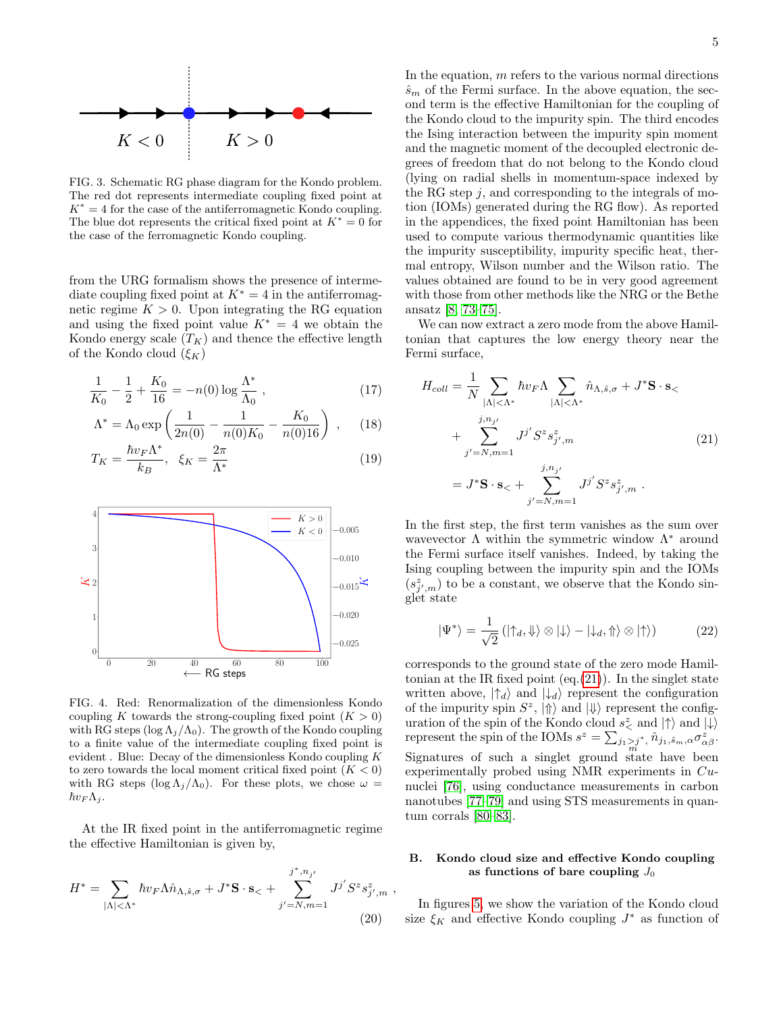

FIG. 3. Schematic RG phase diagram for the Kondo problem. The red dot represents intermediate coupling fixed point at  $K^* = 4$  for the case of the antiferromagnetic Kondo coupling. The blue dot represents the critical fixed point at  $K^* = 0$  for the case of the ferromagnetic Kondo coupling.

from the URG formalism shows the presence of intermediate coupling fixed point at  $K^* = 4$  in the antiferromagnetic regime  $K > 0$ . Upon integrating the RG equation and using the fixed point value  $K^* = 4$  we obtain the Kondo energy scale  $(T_K)$  and thence the effective length of the Kondo cloud  $(\xi_K)$ 

$$
\frac{1}{K_0} - \frac{1}{2} + \frac{K_0}{16} = -n(0) \log \frac{\Lambda^*}{\Lambda_0}, \qquad (17)
$$

$$
\Lambda^* = \Lambda_0 \exp\left(\frac{1}{2n(0)} - \frac{1}{n(0)K_0} - \frac{K_0}{n(0)16}\right) ,\quad (18)
$$

$$
T_K = \frac{\hbar v_F \Lambda^*}{k_B}, \quad \xi_K = \frac{2\pi}{\Lambda^*} \tag{19}
$$



FIG. 4. Red: Renormalization of the dimensionless Kondo coupling K towards the strong-coupling fixed point  $(K > 0)$ with RG steps (log  $\Lambda_j/\Lambda_0$ ). The growth of the Kondo coupling to a finite value of the intermediate coupling fixed point is evident . Blue: Decay of the dimensionless Kondo coupling K to zero towards the local moment critical fixed point  $(K < 0)$ with RG steps  $(\log \Lambda_i/\Lambda_0)$ . For these plots, we chose  $\omega =$  $\hbar v_F \Lambda_i$ .

At the IR fixed point in the antiferromagnetic regime the effective Hamiltonian is given by,

$$
H^* = \sum_{|\Lambda| < \Lambda^*} \hbar v_F \Lambda \hat{n}_{\Lambda, \hat{s}, \sigma} + J^* \mathbf{S} \cdot \mathbf{s}_{<} + \sum_{j'=N, m=1}^{j^*, n_{j'}} J^{j'} S^z s_{j', m}^z,
$$
\n(20)

In the equation,  $m$  refers to the various normal directions  $\hat{s}_m$  of the Fermi surface. In the above equation, the second term is the effective Hamiltonian for the coupling of the Kondo cloud to the impurity spin. The third encodes the Ising interaction between the impurity spin moment and the magnetic moment of the decoupled electronic degrees of freedom that do not belong to the Kondo cloud (lying on radial shells in momentum-space indexed by the RG step  $j$ , and corresponding to the integrals of motion (IOMs) generated during the RG flow). As reported in the appendices, the fixed point Hamiltonian has been used to compute various thermodynamic quantities like the impurity susceptibility, impurity specific heat, thermal entropy, Wilson number and the Wilson ratio. The values obtained are found to be in very good agreement with those from other methods like the NRG or the Bethe ansatz [\[8,](#page-15-7) [73–](#page-16-24)[75\]](#page-16-25).

We can now extract a zero mode from the above Hamiltonian that captures the low energy theory near the Fermi surface,

<span id="page-4-0"></span>
$$
H_{coll} = \frac{1}{N} \sum_{|\Lambda| < \Lambda^*} \hbar v_F \Lambda \sum_{|\Lambda| < \Lambda^*} \hat{n}_{\Lambda, \hat{s}, \sigma} + J^* \mathbf{S} \cdot \mathbf{s} + \sum_{j'=N, m=1}^{j, n_{j'}} J^{j'} S^z s_{j', m}^z = J^* \mathbf{S} \cdot \mathbf{s} + \sum_{j'=N, m=1}^{j, n_{j'}} J^{j'} S^z s_{j', m}^z.
$$
 (21)

 $(s_{j',m}^{z})$  to be a constant, we observe that the Kondo sin-In the first step, the first term vanishes as the sum over wavevector  $\Lambda$  within the symmetric window  $\Lambda^*$  around the Fermi surface itself vanishes. Indeed, by taking the Ising coupling between the impurity spin and the IOMs glet state

<span id="page-4-2"></span>
$$
|\Psi^*\rangle = \frac{1}{\sqrt{2}} \left( |\uparrow_d, \Downarrow\rangle \otimes |\downarrow\rangle - |\downarrow_d, \Uparrow\rangle \otimes |\uparrow\rangle \right) \tag{22}
$$

corresponds to the ground state of the zero mode Hamiltonian at the IR fixed point  $(eq.(21))$  $(eq.(21))$  $(eq.(21))$ . In the singlet state written above,  $|\uparrow_d\rangle$  and  $|\downarrow_d\rangle$  represent the configuration of the impurity spin  $S^z$ ,  $|\Uparrow\rangle$  and  $|\Downarrow\rangle$  represent the configuration of the spin of the Kondo cloud  $s^z_{\lt}$  and  $|\uparrow\rangle$  and  $|\downarrow\rangle$ represent the spin of the IOMs  $s^z = \sum_{j_1 > j^*} \hat{n}_{j_1, \hat{s}_m, \alpha} \sigma_{\alpha \beta}^z$ . Signatures of such a singlet ground state have been experimentally probed using NMR experiments in Cunuclei [\[76\]](#page-16-26), using conductance measurements in carbon nanotubes [\[77–](#page-16-27)[79\]](#page-16-28) and using STS measurements in quantum corrals [\[80–](#page-16-29)[83\]](#page-16-30).

## <span id="page-4-1"></span>B. Kondo cloud size and effective Kondo coupling as functions of bare coupling  $J_0$

In figures [5,](#page-5-0) we show the variation of the Kondo cloud size  $\xi_K$  and effective Kondo coupling  $J^*$  as function of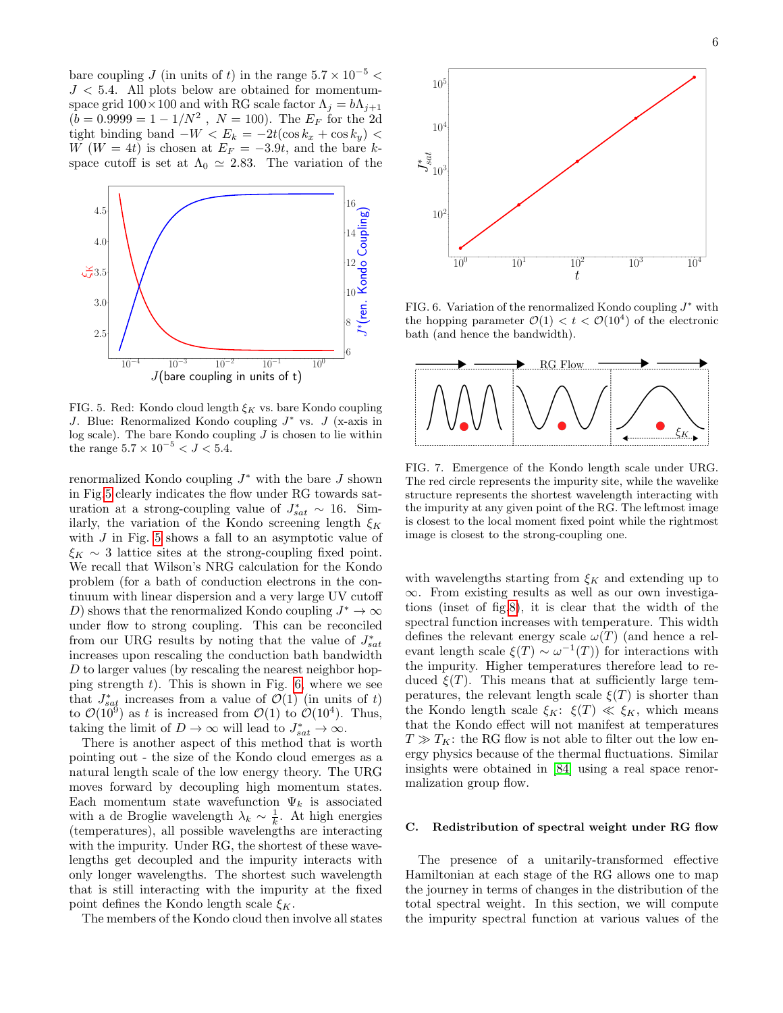bare coupling J (in units of t) in the range  $5.7 \times 10^{-5}$  <  $J < 5.4$ . All plots below are obtained for momentumspace grid  $100 \times 100$  and with RG scale factor  $\Lambda_j = b\Lambda_{j+1}$  $(b = 0.9999 = 1 - 1/N^2$ ,  $N = 100$ ). The  $E_F$  for the 2d tight binding band  $-W < E_k = -2t(\cos k_x + \cos k_y)$ W ( $W = 4t$ ) is chosen at  $E_F = -3.9t$ , and the bare kspace cutoff is set at  $\Lambda_0 \simeq 2.83$ . The variation of the



<span id="page-5-0"></span>FIG. 5. Red: Kondo cloud length  $\xi_K$  vs. bare Kondo coupling J. Blue: Renormalized Kondo coupling  $J^*$  vs.  $J$  (x-axis in log scale). The bare Kondo coupling  $J$  is chosen to lie within the range  $5.7 \times 10^{-5} < J < 5.4$ .

renormalized Kondo coupling  $J^*$  with the bare  $J$  shown in Fig[.5](#page-5-0) clearly indicates the flow under RG towards saturation at a strong-coupling value of  $J_{sat}^* \sim 16$ . Similarly, the variation of the Kondo screening length  $\xi_K$ with  $J$  in Fig. [5](#page-5-0) shows a fall to an asymptotic value of  $\xi_K \sim 3$  lattice sites at the strong-coupling fixed point. We recall that Wilson's NRG calculation for the Kondo problem (for a bath of conduction electrons in the continuum with linear dispersion and a very large UV cutoff D) shows that the renormalized Kondo coupling  $J^* \to \infty$ under flow to strong coupling. This can be reconciled from our URG results by noting that the value of  $J_{sat}^*$ increases upon rescaling the conduction bath bandwidth  $D$  to larger values (by rescaling the nearest neighbor hopping strength  $t$ ). This is shown in Fig. [6,](#page-5-1) where we see that  $J_{sat}^{*}$  increases from a value of  $\mathcal{O}(1)$  (in units of t) to  $\mathcal{O}(10^9)$  as t is increased from  $\mathcal{O}(1)$  to  $\mathcal{O}(10^4)$ . Thus, taking the limit of  $D \to \infty$  will lead to  $J_{sat}^* \to \infty$ . 352.5<br>
162.8<br>
162.8<br>
162.8<br>
162.8<br>
162.8<br>
162.8<br>
162.8<br>
162.8<br>
162.8<br>
162.8<br>
162.8<br>
162.8<br>
162.8<br>
162.8<br>
162.8<br>
162.8<br>
162.8<br>
162.8<br>
162.8<br>
162.8<br>
162.8<br>
162.8<br>
162.8<br>
162.8<br>
162.8<br>
162.8<br>
162.8<br>
162.8<br>
162.8<br>
162.8<br>
162.

There is another aspect of this method that is worth pointing out - the size of the Kondo cloud emerges as a natural length scale of the low energy theory. The URG moves forward by decoupling high momentum states. Each momentum state wavefunction  $\Psi_k$  is associated with a de Broglie wavelength  $\lambda_k \sim \frac{1}{k}$ . At high energies (temperatures), all possible wavelengths are interacting with the impurity. Under RG, the shortest of these wavelengths get decoupled and the impurity interacts with only longer wavelengths. The shortest such wavelength that is still interacting with the impurity at the fixed point defines the Kondo length scale  $\xi_K$ .



<span id="page-5-1"></span>FIG. 6. Variation of the renormalized Kondo coupling  $J^*$  with the hopping parameter  $\mathcal{O}(1) < t < \mathcal{O}(10^4)$  of the electronic bath (and hence the bandwidth).



FIG. 7. Emergence of the Kondo length scale under URG. The red circle represents the impurity site, while the wavelike structure represents the shortest wavelength interacting with the impurity at any given point of the RG. The leftmost image is closest to the local moment fixed point while the rightmost image is closest to the strong-coupling one.

with wavelengths starting from  $\xi_K$  and extending up to ∞. From existing results as well as our own investigations (inset of fig[.8\)](#page-6-1), it is clear that the width of the spectral function increases with temperature. This width defines the relevant energy scale  $\omega(T)$  (and hence a relevant length scale  $\xi(T) \sim \omega^{-1}(T)$  for interactions with the impurity. Higher temperatures therefore lead to reduced  $\xi(T)$ . This means that at sufficiently large temperatures, the relevant length scale  $\xi(T)$  is shorter than the Kondo length scale  $\xi_K: \xi(T) \ll \xi_K$ , which means that the Kondo effect will not manifest at temperatures  $T \gg T_K$ : the RG flow is not able to filter out the low energy physics because of the thermal fluctuations. Similar insights were obtained in [\[84\]](#page-16-31) using a real space renormalization group flow.

#### C. Redistribution of spectral weight under RG flow

The presence of a unitarily-transformed effective Hamiltonian at each stage of the RG allows one to map the journey in terms of changes in the distribution of the total spectral weight. In this section, we will compute the impurity spectral function at various values of the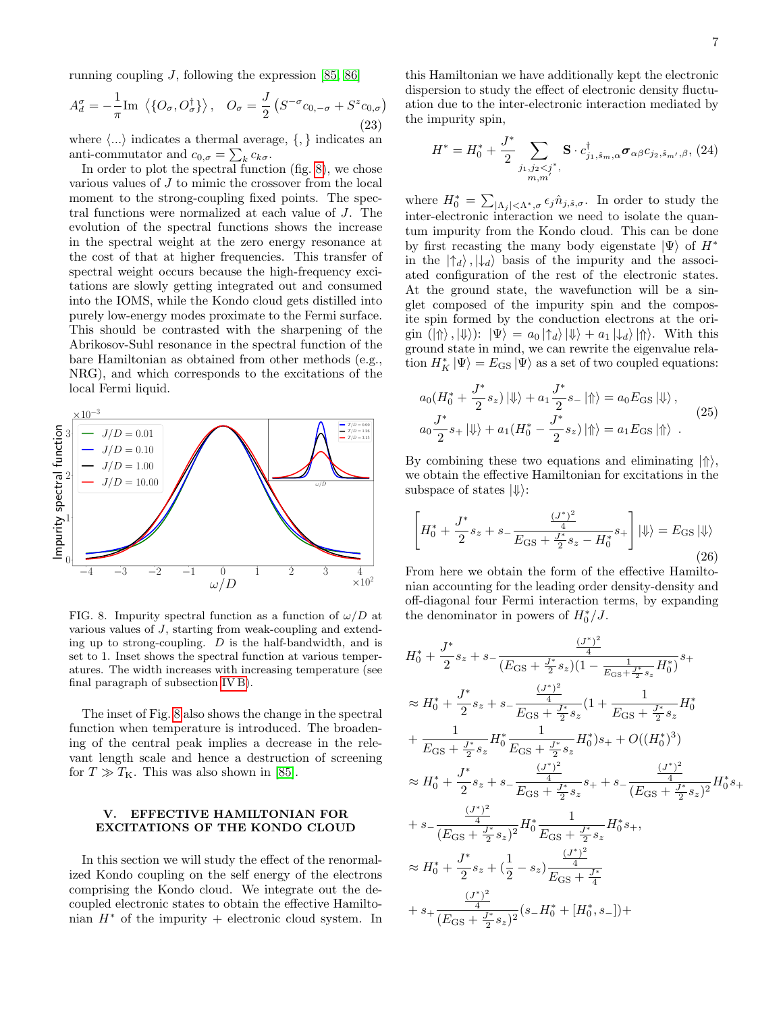running coupling  $J$ , following the expression [\[85,](#page-16-32) [86\]](#page-16-33)

$$
A_d^{\sigma} = -\frac{1}{\pi} \text{Im} \langle \{O_{\sigma}, O_{\sigma}^{\dagger} \} \rangle, \quad O_{\sigma} = \frac{J}{2} \left( S^{-\sigma} c_{0,-\sigma} + S^z c_{0,\sigma} \right)
$$
(23)

where  $\langle ... \rangle$  indicates a thermal average,  $\{ , \}$  indicates an anti-commutator and  $c_{0,\sigma} = \sum_{k} c_{k\sigma}$ .

In order to plot the spectral function (fig. [8\)](#page-6-1), we chose various values of J to mimic the crossover from the local moment to the strong-coupling fixed points. The spectral functions were normalized at each value of J. The evolution of the spectral functions shows the increase in the spectral weight at the zero energy resonance at the cost of that at higher frequencies. This transfer of spectral weight occurs because the high-frequency excitations are slowly getting integrated out and consumed into the IOMS, while the Kondo cloud gets distilled into purely low-energy modes proximate to the Fermi surface. This should be contrasted with the sharpening of the Abrikosov-Suhl resonance in the spectral function of the bare Hamiltonian as obtained from other methods (e.g., NRG), and which corresponds to the excitations of the local Fermi liquid.



<span id="page-6-1"></span>FIG. 8. Impurity spectral function as a function of  $\omega/D$  at various values of J, starting from weak-coupling and extending up to strong-coupling. D is the half-bandwidth, and is set to 1. Inset shows the spectral function at various temperatures. The width increases with increasing temperature (see final paragraph of subsection [IV B\)](#page-4-1).

The inset of Fig. [8](#page-6-1) also shows the change in the spectral function when temperature is introduced. The broadening of the central peak implies a decrease in the relevant length scale and hence a destruction of screening for  $T \gg T_{\text{K}}$ . This was also shown in [\[85\]](#page-16-32).

## <span id="page-6-0"></span>V. EFFECTIVE HAMILTONIAN FOR EXCITATIONS OF THE KONDO CLOUD

In this section we will study the effect of the renormalized Kondo coupling on the self energy of the electrons comprising the Kondo cloud. We integrate out the decoupled electronic states to obtain the effective Hamiltonian  $H^*$  of the impurity + electronic cloud system. In

this Hamiltonian we have additionally kept the electronic dispersion to study the effect of electronic density fluctuation due to the inter-electronic interaction mediated by the impurity spin,

<span id="page-6-2"></span>
$$
H^* = H_0^* + \frac{J^*}{2} \sum_{\substack{j_1, j_2 < j^* \\ m, m'}} \mathbf{S} \cdot c_{j_1, \hat{s}_m, \alpha}^{\dagger} \boldsymbol{\sigma}_{\alpha \beta} c_{j_2, \hat{s}_{m'}, \beta}, (24)
$$

where  $H_0^* = \sum_{|\Lambda_j| < \Lambda^*, \sigma} \epsilon_j \hat{n}_{j, \hat{s}, \sigma}$ . In order to study the inter-electronic interaction we need to isolate the quantum impurity from the Kondo cloud. This can be done by first recasting the many body eigenstate  $|\Psi\rangle$  of  $H^*$ in the  $|\uparrow_d\rangle$ ,  $|\downarrow_d\rangle$  basis of the impurity and the associated configuration of the rest of the electronic states. At the ground state, the wavefunction will be a singlet composed of the impurity spin and the composite spin formed by the conduction electrons at the origin  $(|\Uparrow\rangle, |\Downarrow\rangle)$ :  $|\Psi\rangle = a_0 |\uparrow_d\rangle |\Downarrow\rangle + a_1 |\downarrow_d\rangle |\Uparrow\rangle$ . With this ground state in mind, we can rewrite the eigenvalue relation  $H_K^* |\Psi\rangle = E_{\text{GS}} |\Psi\rangle$  as a set of two coupled equations:

$$
a_0(H_0^* + \frac{J^*}{2}s_z) \left| \psi \right\rangle + a_1 \frac{J^*}{2}s_- \left| \Uparrow \right\rangle = a_0 E_{\text{GS}} \left| \psi \right\rangle,
$$
  
\n
$$
a_0 \frac{J^*}{2}s_+ \left| \psi \right\rangle + a_1 (H_0^* - \frac{J^*}{2}s_z) \left| \Uparrow \right\rangle = a_1 E_{\text{GS}} \left| \Uparrow \right\rangle.
$$
\n(25)

By combining these two equations and eliminating  $|\Uparrow\rangle$ , we obtain the effective Hamiltonian for excitations in the subspace of states  $|\Downarrow\rangle$ :

$$
\left[H_0^* + \frac{J^*}{2}s_z + s - \frac{\frac{(J^*)^2}{4}}{E_{\rm GS} + \frac{J^*}{2}s_z - H_0^*}s_+\right]|\psi\rangle = E_{\rm GS}|\psi\rangle\tag{26}
$$

From here we obtain the form of the effective Hamiltonian accounting for the leading order density-density and off-diagonal four Fermi interaction terms, by expanding the denominator in powers of  $H_0^*/J$ .

$$
H_0^* + \frac{J^*}{2}s_z + s - \frac{\frac{(J^*)^2}{4}}{(E_{\text{GS}} + \frac{J^*}{2}s_z)(1 - \frac{1}{E_{\text{GS}} + \frac{J^*}{2}s_z}H_0^*)}s_+
$$
  
\n
$$
\approx H_0^* + \frac{J^*}{2}s_z + s - \frac{\frac{(J^*)^2}{4}}{E_{\text{GS}} + \frac{J^*}{2}s_z}(1 + \frac{1}{E_{\text{GS}} + \frac{J^*}{2}s_z}H_0^*
$$
  
\n
$$
+ \frac{1}{E_{\text{GS}} + \frac{J^*}{2}s_z}H_0^* \frac{1}{E_{\text{GS}} + \frac{J^*}{2}s_z}H_0^*)s_+ + O((H_0^*)^3)
$$
  
\n
$$
\approx H_0^* + \frac{J^*}{2}s_z + s - \frac{\frac{(J^*)^2}{4}}{E_{\text{GS}} + \frac{J^*}{2}s_z}s_+ + s - \frac{\frac{(J^*)^2}{4}}{(E_{\text{GS}} + \frac{J^*}{2}s_z)^2}H_0^*s_+
$$
  
\n
$$
+ s - \frac{\frac{(J^*)^2}{4}}{(E_{\text{GS}} + \frac{J^*}{2}s_z)^2}H_0^* \frac{1}{E_{\text{GS}} + \frac{J^*}{2}s_z}H_0^*s_+,
$$
  
\n
$$
\approx H_0^* + \frac{J^*}{2}s_z + (\frac{1}{2} - s_z)\frac{\frac{(J^*)^2}{4}}{E_{\text{GS}} + \frac{J^*}{4}}
$$
  
\n
$$
+ s_+ \frac{\frac{(J^*)^2}{4}}{(E_{\text{GS}} + \frac{J^*}{2}s_z)^2}(s_-H_0^* + [H_0^*, s_-]) +
$$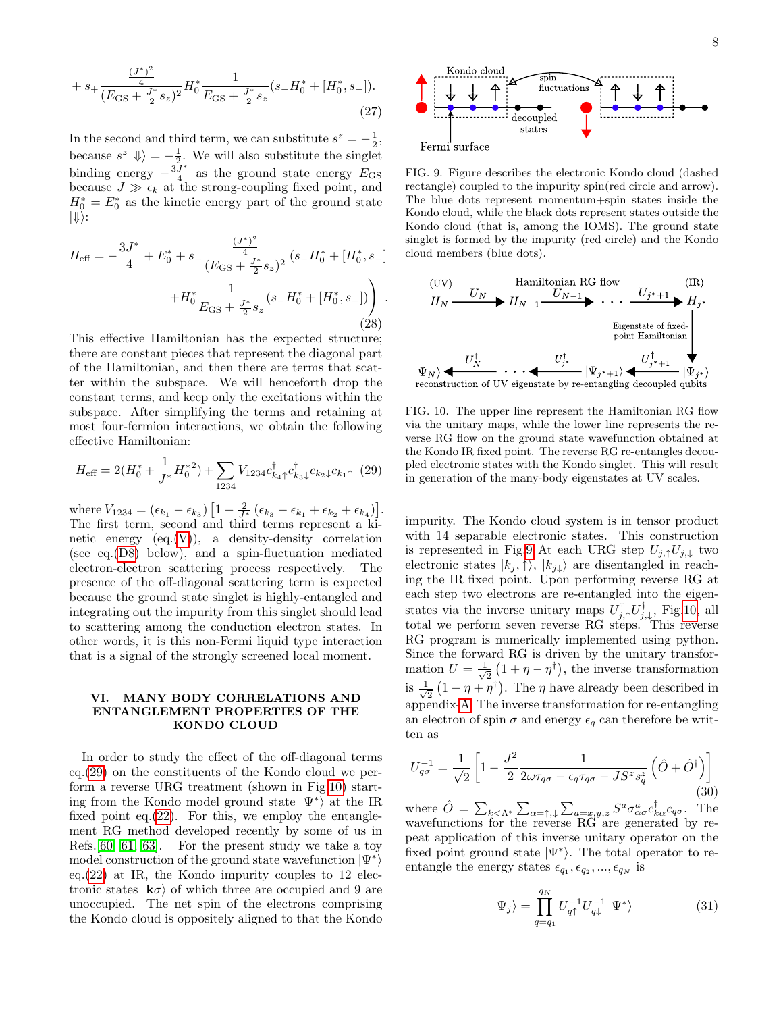$$
+ s_{+} \frac{\frac{(J^{*})^{2}}{4}}{(E_{\text{GS}} + \frac{J^{*}}{2}s_{z})^{2}} H_{0}^{*} \frac{1}{E_{\text{GS}} + \frac{J^{*}}{2}s_{z}} (s_{-}H_{0}^{*} + [H_{0}^{*}, s_{-}]).
$$
\n(27)

In the second and third term, we can substitute  $s^z = -\frac{1}{2}$ , because  $s^z |\psi\rangle = -\frac{1}{2}$ . We will also substitute the singlet binding energy  $-\frac{3J^*}{4}$  $\frac{J^*}{4}$  as the ground state energy  $E_{\text{GS}}$ because  $J \gg \epsilon_k$  at the strong-coupling fixed point, and  $H_0^* = E_0^*$  as the kinetic energy part of the ground state  $|\Downarrow\rangle$ :

$$
H_{\text{eff}} = -\frac{3J^*}{4} + E_0^* + s_+ \frac{\frac{(J^*)^2}{4}}{(E_{\text{GS}} + \frac{J^*}{2}s_z)^2} (s_-H_0^* + [H_0^*, s_-] + H_0^* \frac{1}{E_{\text{GS}} + \frac{J^*}{2}s_z} (s_-H_0^* + [H_0^*, s_-]) \Big) \tag{28}
$$

This effective Hamiltonian has the expected structure; there are constant pieces that represent the diagonal part of the Hamiltonian, and then there are terms that scatter within the subspace. We will henceforth drop the constant terms, and keep only the excitations within the subspace. After simplifying the terms and retaining at most four-fermion interactions, we obtain the following effective Hamiltonian:

<span id="page-7-1"></span>
$$
H_{\text{eff}} = 2(H_0^* + \frac{1}{J^*}H_0^{*2}) + \sum_{1234} V_{1234} c_{k_4}^{\dagger} c_{k_3}^{\dagger} c_{k_2} c_{k_1} (29)
$$

where  $V_{1234} = (\epsilon_{k_1} - \epsilon_{k_3}) \left[ 1 - \frac{2}{J^*} \left( \epsilon_{k_3} - \epsilon_{k_1} + \epsilon_{k_2} + \epsilon_{k_4} \right) \right]$ . The first term, second and third terms represent a kinetic energy  $(eq.(V))$  $(eq.(V))$  $(eq.(V))$ , a density-density correlation (see eq.[\(D8\)](#page-14-1) below), and a spin-fluctuation mediated electron-electron scattering process respectively. The presence of the off-diagonal scattering term is expected because the ground state singlet is highly-entangled and integrating out the impurity from this singlet should lead to scattering among the conduction electron states. In other words, it is this non-Fermi liquid type interaction that is a signal of the strongly screened local moment.

#### <span id="page-7-0"></span>VI. MANY BODY CORRELATIONS AND ENTANGLEMENT PROPERTIES OF THE KONDO CLOUD

In order to study the effect of the off-diagonal terms eq.[\(29\)](#page-7-1) on the constituents of the Kondo cloud we perform a reverse URG treatment (shown in Fig[.10\)](#page-7-2) starting from the Kondo model ground state  $|\Psi^*\rangle$  at the IR fixed point eq. $(22)$ . For this, we employ the entanglement RG method developed recently by some of us in Refs.[\[60,](#page-16-13) [61,](#page-16-14) [63\]](#page-16-16). For the present study we take a toy model construction of the ground state wavefunction  $|\Psi^*\rangle$ eq.[\(22\)](#page-4-2) at IR, the Kondo impurity couples to 12 electronic states  $|k\sigma\rangle$  of which three are occupied and 9 are unoccupied. The net spin of the electrons comprising the Kondo cloud is oppositely aligned to that the Kondo



<span id="page-7-3"></span>FIG. 9. Figure describes the electronic Kondo cloud (dashed rectangle) coupled to the impurity spin(red circle and arrow). The blue dots represent momentum+spin states inside the Kondo cloud, while the black dots represent states outside the Kondo cloud (that is, among the IOMS). The ground state singlet is formed by the impurity (red circle) and the Kondo cloud members (blue dots).



<span id="page-7-2"></span>FIG. 10. The upper line represent the Hamiltonian RG flow via the unitary maps, while the lower line represents the reverse RG flow on the ground state wavefunction obtained at the Kondo IR fixed point. The reverse RG re-entangles decoupled electronic states with the Kondo singlet. This will result in generation of the many-body eigenstates at UV scales.

impurity. The Kondo cloud system is in tensor product with 14 separable electronic states. This construction is represented in Fig[.9](#page-7-3) At each URG step  $U_{j,\uparrow}U_{j,\downarrow}$  two electronic states  $|k_j, \uparrow\rangle, |k_{j\downarrow}\rangle$  are disentangled in reaching the IR fixed point. Upon performing reverse RG at each step two electrons are re-entangled into the eigenstates via the inverse unitary maps  $U_{j,\uparrow}^{\dagger}U_{j,\downarrow}^{\dagger}$ , Fig[.10,](#page-7-2) all total we perform seven reverse RG steps. This reverse RG program is numerically implemented using python. Since the forward RG is driven by the unitary transformation  $U = \frac{1}{\sqrt{2}}$  $\frac{1}{2}(1 + \eta - \eta^{\dagger})$ , the inverse transformation is  $\frac{1}{4}$  $\frac{1}{2}(1 - \eta + \eta^{\dagger})$ . The  $\eta$  have already been described in appendix[-A.](#page-9-0) The inverse transformation for re-entangling an electron of spin  $\sigma$  and energy  $\epsilon_q$  can therefore be written as

$$
U_{q\sigma}^{-1} = \frac{1}{\sqrt{2}} \left[ 1 - \frac{J^2}{2} \frac{1}{2\omega \tau_{q\sigma} - \epsilon_q \tau_{q\sigma} - J S^z s_q^z} \left( \hat{O} + \hat{O}^\dagger \right) \right]
$$
(30)

where  $\hat{O} = \sum_{k < \Lambda^*} \sum_{\alpha = \uparrow, \downarrow} \sum_{a = x, y, z} S^a \sigma^a_{\alpha \sigma} c^{\dagger}_{k \alpha} c_{q \sigma}$ . The wavefunctions for the reverse  $RG$  are generated by repeat application of this inverse unitary operator on the fixed point ground state  $|\Psi^*\rangle$ . The total operator to reentangle the energy states  $\epsilon_{q_1}, \epsilon_{q_2}, ..., \epsilon_{q_N}$  is

$$
|\Psi_j\rangle = \prod_{q=q_1}^{q_N} U_{q\uparrow}^{-1} U_{q\downarrow}^{-1} |\Psi^*\rangle
$$
 (31)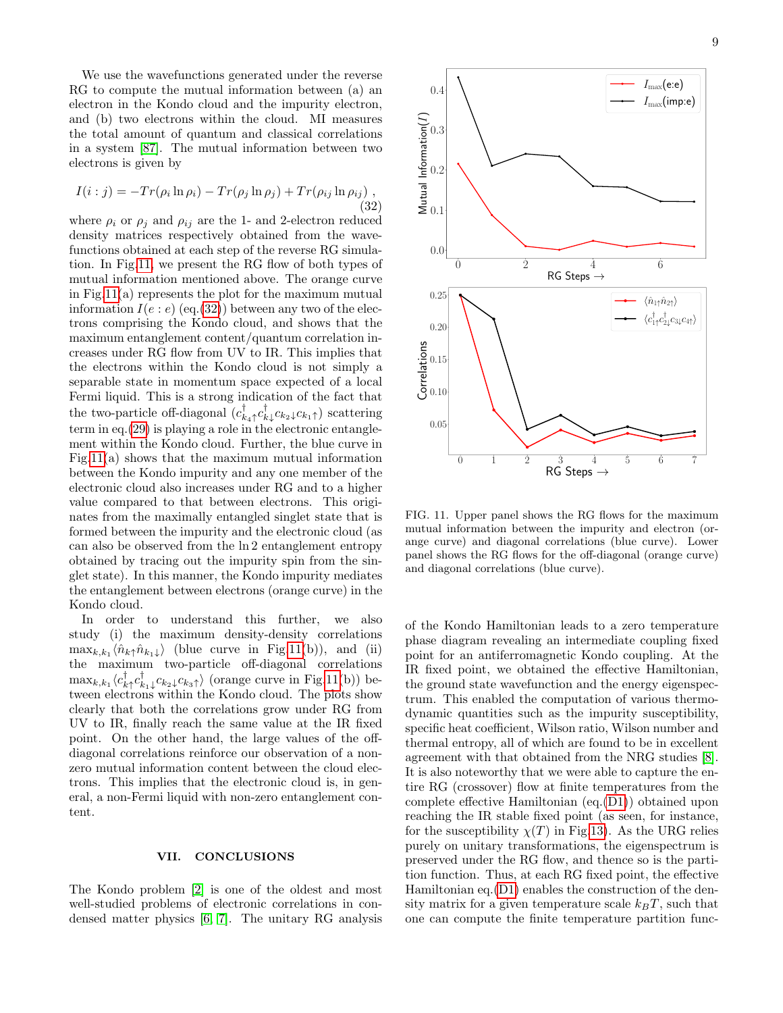We use the wavefunctions generated under the reverse RG to compute the mutual information between (a) an electron in the Kondo cloud and the impurity electron, and (b) two electrons within the cloud. MI measures the total amount of quantum and classical correlations in a system [\[87\]](#page-16-34). The mutual information between two electrons is given by

<span id="page-8-2"></span>
$$
I(i:j) = -Tr(\rho_i \ln \rho_i) - Tr(\rho_j \ln \rho_j) + Tr(\rho_{ij} \ln \rho_{ij}),
$$
\n(32)

where  $\rho_i$  or  $\rho_j$  and  $\rho_{ij}$  are the 1- and 2-electron reduced density matrices respectively obtained from the wavefunctions obtained at each step of the reverse RG simulation. In Fig[.11,](#page-8-1) we present the RG flow of both types of mutual information mentioned above. The orange curve in Fig[.11\(](#page-8-1)a) represents the plot for the maximum mutual information  $I(e : e)$  (eq.[\(32\)](#page-8-2)) between any two of the electrons comprising the Kondo cloud, and shows that the maximum entanglement content/quantum correlation increases under RG flow from UV to IR. This implies that the electrons within the Kondo cloud is not simply a separable state in momentum space expected of a local Fermi liquid. This is a strong indication of the fact that the two-particle off-diagonal  $(c_{k_4\uparrow}^{\dagger}c_{k_4}^{\dagger}c_{k_2\downarrow}c_{k_1\uparrow})$  scattering term in eq.[\(29\)](#page-7-1) is playing a role in the electronic entanglement within the Kondo cloud. Further, the blue curve in Fig[.11\(](#page-8-1)a) shows that the maximum mutual information between the Kondo impurity and any one member of the electronic cloud also increases under RG and to a higher value compared to that between electrons. This originates from the maximally entangled singlet state that is formed between the impurity and the electronic cloud (as can also be observed from the ln 2 entanglement entropy obtained by tracing out the impurity spin from the singlet state). In this manner, the Kondo impurity mediates the entanglement between electrons (orange curve) in the Kondo cloud. dense matrix in Fig.11), the set of the Kindy test<br>physics ( $\frac{1}{2}$ ,  $\frac{1}{2}$ ,  $\frac{1}{2}$ ,  $\frac{1}{2}$ ,  $\frac{1}{2}$ ,  $\frac{1}{2}$ ,  $\frac{1}{2}$ ,  $\frac{1}{2}$ ,  $\frac{1}{2}$ ,  $\frac{1}{2}$ ,  $\frac{1}{2}$ ,  $\frac{1}{2}$ ,  $\frac{1}{2}$ ,  $\frac{1}{2}$ ,  $\frac{1}{2$ 

In order to understand this further, we also study (i) the maximum density-density correlations  $\max_{k,k_1} \langle \hat{n}_{k\uparrow} \hat{n}_{k_1\downarrow} \rangle$  (blue curve in Fig[.11\(](#page-8-1)b)), and (ii) the maximum two-particle off-diagonal correlations  $\max_{k,k_1} \langle c_{k\uparrow}^\dagger c_{k_1\downarrow}^\dagger c_{k_2\downarrow} c_{k_3\uparrow} \rangle$  (orange curve in Fig[.11\(](#page-8-1)b)) between electrons within the Kondo cloud. The plots show clearly that both the correlations grow under RG from UV to IR, finally reach the same value at the IR fixed point. On the other hand, the large values of the offdiagonal correlations reinforce our observation of a nonzero mutual information content between the cloud electrons. This implies that the electronic cloud is, in general, a non-Fermi liquid with non-zero entanglement content.

#### <span id="page-8-0"></span>VII. CONCLUSIONS

The Kondo problem [\[2\]](#page-15-1) is one of the oldest and most well-studied problems of electronic correlations in con-



<span id="page-8-1"></span>FIG. 11. Upper panel shows the RG flows for the maximum mutual information between the impurity and electron (orange curve) and diagonal correlations (blue curve). Lower panel shows the RG flows for the off-diagonal (orange curve) and diagonal correlations (blue curve).

of the Kondo Hamiltonian leads to a zero temperature phase diagram revealing an intermediate coupling fixed point for an antiferromagnetic Kondo coupling. At the IR fixed point, we obtained the effective Hamiltonian, the ground state wavefunction and the energy eigenspectrum. This enabled the computation of various thermodynamic quantities such as the impurity susceptibility, specific heat coefficient, Wilson ratio, Wilson number and thermal entropy, all of which are found to be in excellent agreement with that obtained from the NRG studies [\[8\]](#page-15-7). It is also noteworthy that we were able to capture the entire RG (crossover) flow at finite temperatures from the complete effective Hamiltonian (eq.[\(D1\)](#page-12-1)) obtained upon reaching the IR stable fixed point (as seen, for instance, for the susceptibility  $\chi(T)$  in Fig[.13\)](#page-13-0). As the URG relies purely on unitary transformations, the eigenspectrum is preserved under the RG flow, and thence so is the partition function. Thus, at each RG fixed point, the effective Hamiltonian eq.[\(D1\)](#page-12-1) enables the construction of the density matrix for a given temperature scale  $k_BT$ , such that one can compute the finite temperature partition func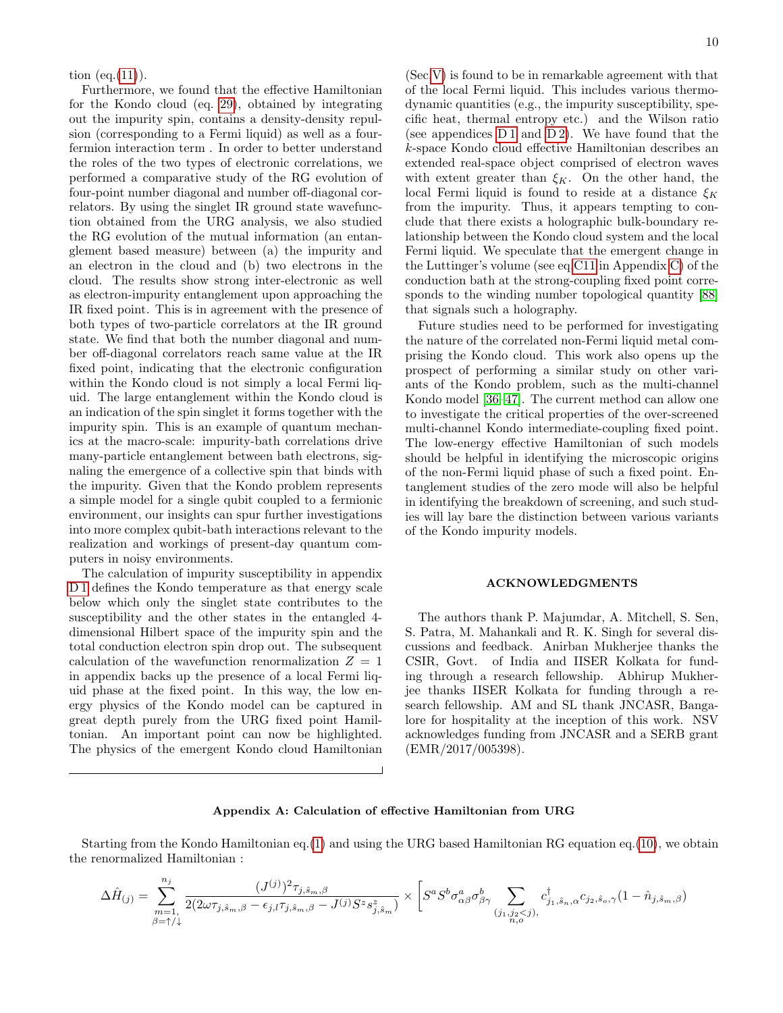tion  $(eq.(11))$  $(eq.(11))$  $(eq.(11))$ .

Furthermore, we found that the effective Hamiltonian for the Kondo cloud (eq. [29\)](#page-7-1), obtained by integrating out the impurity spin, contains a density-density repulsion (corresponding to a Fermi liquid) as well as a fourfermion interaction term . In order to better understand the roles of the two types of electronic correlations, we performed a comparative study of the RG evolution of four-point number diagonal and number off-diagonal correlators. By using the singlet IR ground state wavefunction obtained from the URG analysis, we also studied the RG evolution of the mutual information (an entanglement based measure) between (a) the impurity and an electron in the cloud and (b) two electrons in the cloud. The results show strong inter-electronic as well as electron-impurity entanglement upon approaching the IR fixed point. This is in agreement with the presence of both types of two-particle correlators at the IR ground state. We find that both the number diagonal and number off-diagonal correlators reach same value at the IR fixed point, indicating that the electronic configuration within the Kondo cloud is not simply a local Fermi liquid. The large entanglement within the Kondo cloud is an indication of the spin singlet it forms together with the impurity spin. This is an example of quantum mechanics at the macro-scale: impurity-bath correlations drive many-particle entanglement between bath electrons, signaling the emergence of a collective spin that binds with the impurity. Given that the Kondo problem represents a simple model for a single qubit coupled to a fermionic environment, our insights can spur further investigations into more complex qubit-bath interactions relevant to the realization and workings of present-day quantum computers in noisy environments.

The calculation of impurity susceptibility in appendix D<sub>1</sub> defines the Kondo temperature as that energy scale below which only the singlet state contributes to the susceptibility and the other states in the entangled 4 dimensional Hilbert space of the impurity spin and the total conduction electron spin drop out. The subsequent calculation of the wavefunction renormalization  $Z = 1$ in appendix backs up the presence of a local Fermi liquid phase at the fixed point. In this way, the low energy physics of the Kondo model can be captured in great depth purely from the URG fixed point Hamiltonian. An important point can now be highlighted. The physics of the emergent Kondo cloud Hamiltonian

(Sec[.V\)](#page-6-0) is found to be in remarkable agreement with that of the local Fermi liquid. This includes various thermodynamic quantities (e.g., the impurity susceptibility, specific heat, thermal entropy etc.) and the Wilson ratio (see appendices  $D1$  and  $D2$ ). We have found that the k-space Kondo cloud effective Hamiltonian describes an extended real-space object comprised of electron waves with extent greater than  $\xi_K$ . On the other hand, the local Fermi liquid is found to reside at a distance  $\xi_K$ from the impurity. Thus, it appears tempting to conclude that there exists a holographic bulk-boundary relationship between the Kondo cloud system and the local Fermi liquid. We speculate that the emergent change in the Luttinger's volume (see eq[.C11](#page-12-2) in Appendix [C\)](#page-11-1) of the conduction bath at the strong-coupling fixed point corresponds to the winding number topological quantity [\[88\]](#page-16-35) that signals such a holography.

Future studies need to be performed for investigating the nature of the correlated non-Fermi liquid metal comprising the Kondo cloud. This work also opens up the prospect of performing a similar study on other variants of the Kondo problem, such as the multi-channel Kondo model [\[36](#page-15-29)[–47\]](#page-16-0). The current method can allow one to investigate the critical properties of the over-screened multi-channel Kondo intermediate-coupling fixed point. The low-energy effective Hamiltonian of such models should be helpful in identifying the microscopic origins of the non-Fermi liquid phase of such a fixed point. Entanglement studies of the zero mode will also be helpful in identifying the breakdown of screening, and such studies will lay bare the distinction between various variants of the Kondo impurity models.

#### ACKNOWLEDGMENTS

The authors thank P. Majumdar, A. Mitchell, S. Sen, S. Patra, M. Mahankali and R. K. Singh for several discussions and feedback. Anirban Mukherjee thanks the CSIR, Govt. of India and IISER Kolkata for funding through a research fellowship. Abhirup Mukherjee thanks IISER Kolkata for funding through a research fellowship. AM and SL thank JNCASR, Bangalore for hospitality at the inception of this work. NSV acknowledges funding from JNCASR and a SERB grant (EMR/2017/005398).

# <span id="page-9-0"></span>Appendix A: Calculation of effective Hamiltonian from URG

Starting from the Kondo Hamiltonian eq.[\(1\)](#page-1-1) and using the URG based Hamiltonian RG equation eq.[\(10\)](#page-3-5), we obtain the renormalized Hamiltonian :

$$
\Delta \hat{H}_{(j)} = \sum_{\substack{m=1,\\ \beta=\uparrow\downarrow}}^{n_j} \frac{(J^{(j)})^2 \tau_{j,\hat{s}_m,\beta}}{2(2\omega \tau_{j,\hat{s}_m,\beta} - \epsilon_{j,l} \tau_{j,\hat{s}_m,\beta} - J^{(j)} S^z s_{j,\hat{s}_m}^z)} \\ \times \left[ S^a S^b \sigma^a_{\alpha\beta} \sigma^b_{\beta\gamma} \sum_{\substack{(j_1,j_2
$$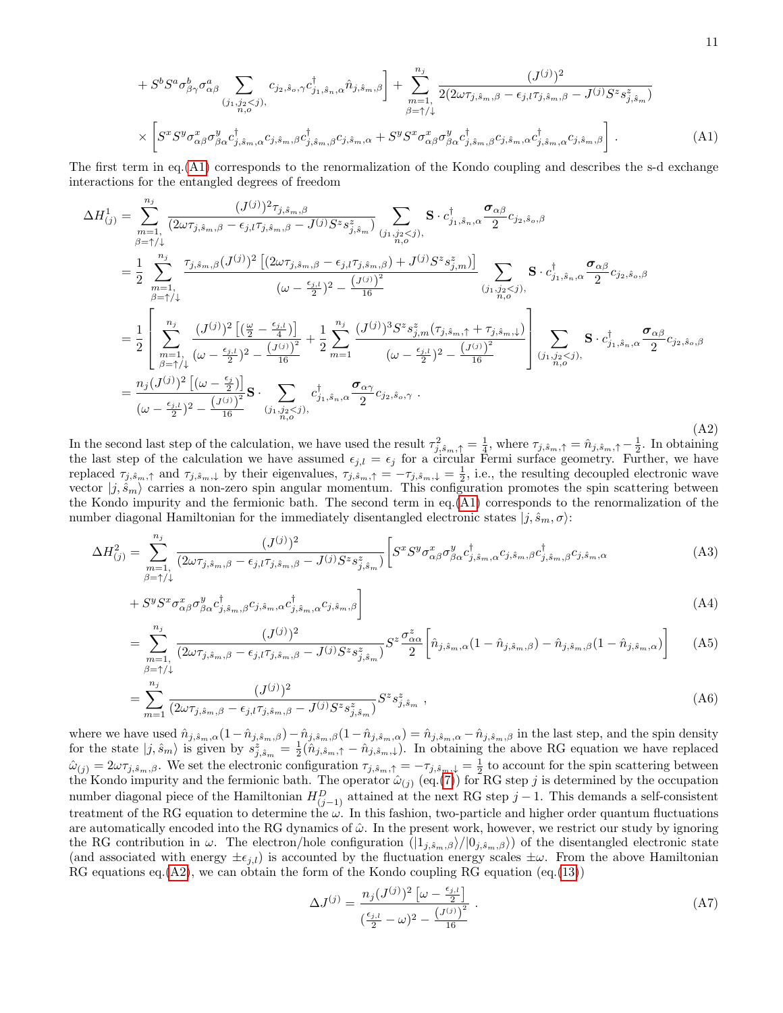<span id="page-10-0"></span>
$$
+ S^{b} S^{a} \sigma^{b}_{\beta\gamma} \sigma^{a}_{\alpha\beta} \sum_{(j_{1},j_{2}\leq j),\atop n,\sigma}(c_{j_{2},\hat{s}_{\alpha},\gamma} c^{\dagger}_{j_{1},\hat{s}_{n},\alpha} \hat{n}_{j,\hat{s}_{m},\beta}) + \sum_{m=1,\atop \beta=\uparrow/\downarrow}^{n_{j}} \frac{(J^{(j)})^{2}}{2(2\omega\tau_{j,\hat{s}_{m},\beta} - \epsilon_{j,l}\tau_{j,\hat{s}_{m},\beta} - J^{(j)}S^{z}s^{z}_{j,\hat{s}_{m}})}
$$

$$
\times \left[ S^{x} S^{y} \sigma^{x}_{\alpha\beta} \sigma^{y}_{\beta\alpha} c^{\dagger}_{j,\hat{s}_{m},\alpha} c_{j,\hat{s}_{m},\beta} c^{+}_{j,\hat{s}_{m},\alpha} + S^{y} S^{x} \sigma^{x}_{\alpha\beta} \sigma^{y}_{\beta\alpha} c^{\dagger}_{j,\hat{s}_{m},\beta} c_{j,\hat{s}_{m},\alpha} c^{+}_{j,\hat{s}_{m},\alpha} c_{j,\hat{s}_{m},\beta} \right].
$$
 (A1)

The first term in eq.[\(A1\)](#page-10-0) corresponds to the renormalization of the Kondo coupling and describes the s-d exchange interactions for the entangled degrees of freedom

<span id="page-10-1"></span>
$$
\Delta H_{(j)}^{1} = \sum_{\substack{m=1, \\ \beta=+\}/}^{n_{j}} \frac{(J^{(j)})^{2} \tau_{j,\hat{s}_{m},\beta}}{2} \frac{(-J^{(j)})^{2} \tau_{j,\hat{s}_{m},\beta}}{2} \sum_{\substack{(j_{1},j_{2}< j), \\ \beta=+\}/} \mathbf{S} \cdot c_{j_{1},\hat{s}_{n},\alpha}^{\dagger} \frac{\sigma_{\alpha\beta}}{2} c_{j_{2},\hat{s}_{o},\beta}
$$
\n
$$
= \frac{1}{2} \sum_{\substack{m=1, \\ \beta=+\}/}^{n_{j}} \frac{\tau_{j,\hat{s}_{m},\beta}(J^{(j)})^{2} \left[ (2\omega\tau_{j,\hat{s}_{m},\beta} - \epsilon_{j,l}\tau_{j,\hat{s}_{m},\beta}) + J^{(j)}S^{z}s_{j,m}^{z} \right]}{(\omega - \frac{\epsilon_{j,l}}{2})^{2} - \frac{(J^{(j)})^{2}}{16}} \sum_{\substack{(j_{1},j_{2}< j), \\ (j_{1},j_{2}< j), \\ (j_{1},j_{2}< j),}} \mathbf{S} \cdot c_{j_{1},\hat{s}_{n},\alpha}^{\dagger} \frac{\sigma_{\alpha\beta}}{2} c_{j_{2},\hat{s}_{o},\beta}
$$
\n
$$
= \frac{1}{2} \left[ \sum_{\substack{m=1, \\ \beta=+\}/}^{n_{j}} \frac{(J^{(j)})^{2} \left[ \left( \frac{\omega}{2} - \frac{\epsilon_{j,l}}{4} \right) \right]}{(\omega - \frac{\epsilon_{j,l}}{2})^{2} - \frac{(J^{(j)})^{3}}{16}} + \frac{1}{2} \sum_{m=1}^{n_{j}} \frac{(J^{(j)})^{3} S^{z} s_{j,m}^{z}(\tau_{j,\hat{s}_{m},\uparrow} + \tau_{j,\hat{s}_{m},\downarrow})}{(\omega - \frac{\epsilon_{j,l}}{2})^{2} - \frac{(J^{(j)})^{2}}{16}} \right] \sum_{\substack{(j_{1},j_{2}< j), \\ (j_{1},j_{2}< j), \\ (j_{1},j_{2}< j),}} \mathbf{S} \cdot c_{j_{1},\hat{s}_{n},\alpha}^{\dagger} \frac{\sigma_{\alpha\beta}}{2} c_{j_{2},\hat{s}_{o},
$$

In the second last step of the calculation, we have used the result  $\tau_{j,\hat{s}_m,\uparrow}^2 = \frac{1}{4}$ , where  $\tau_{j,\hat{s}_m,\uparrow} = \hat{n}_{j,\hat{s}_m,\uparrow} - \frac{1}{2}$ . In obtaining the last step of the calculation we have assumed  $\epsilon_{j,l} = \epsilon_j$  for a circular Fermi surface geometry. Further, we have replaced  $\tau_{j,\hat{s}_m,\uparrow}$  and  $\tau_{j,\hat{s}_m,\downarrow}$  by their eigenvalues,  $\tau_{j,\hat{s}_m,\uparrow} = -\tau_{j,\hat{s}_m,\downarrow} = \frac{1}{2}$ , i.e., the resulting decoupled electronic wave vector  $|j, \hat{s}_m\rangle$  carries a non-zero spin angular momentum. This configuration promotes the spin scattering between the Kondo impurity and the fermionic bath. The second term in eq.[\(A1\)](#page-10-0) corresponds to the renormalization of the number diagonal Hamiltonian for the immediately disentangled electronic states  $|j, \hat{s}_m, \sigma\rangle$ :

$$
\Delta H_{(j)}^2 = \sum_{\substack{m=1,\\ \beta=\uparrow\downarrow}}^{n_j} \frac{(J^{(j)})^2}{(2\omega\tau_{j,\hat{s}_m,\beta} - \epsilon_{j,l}\tau_{j,\hat{s}_m,\beta} - J^{(j)}S^z s_{j,\hat{s}_m}^z)} \bigg[ S^x S^y \sigma^x_{\alpha\beta} \sigma^y_{\beta\alpha} c_{j,\hat{s}_m,\alpha}^{\dagger} c_{j,\hat{s}_m,\beta} c_{j,\hat{s}_m,\beta} c_{j,\hat{s}_m,\alpha} \tag{A3}
$$

$$
+ S^y S^x \sigma^x_{\alpha\beta} \sigma^y_{\beta\alpha} c^{\dagger}_{j,\hat{s}_m,\beta} c_{j,\hat{s}_m,\alpha} c^{\dagger}_{j,\hat{s}_m,\alpha} c_{j,\hat{s}_m,\beta} \bigg]
$$
\n(A4)

$$
= \sum_{m=1, \atop \beta=\uparrow/\downarrow}^{n_j} \frac{(J^{(j)})^2}{(2\omega\tau_{j,\hat{s}_m,\beta} - \epsilon_{j,l}\tau_{j,\hat{s}_m,\beta} - J^{(j)}S^z s_{j,\hat{s}_m}^z)} S^z \frac{\sigma_{\alpha\alpha}^z}{2} \left[\hat{n}_{j,\hat{s}_m,\alpha}(1-\hat{n}_{j,\hat{s}_m,\beta}) - \hat{n}_{j,\hat{s}_m,\beta}(1-\hat{n}_{j,\hat{s}_m,\alpha})\right]
$$
(A5)

$$
= \sum_{m=1}^{n_j} \frac{(J^{(j)})^2}{(2\omega\tau_{j,\hat{s}_m,\beta} - \epsilon_{j,l}\tau_{j,\hat{s}_m,\beta} - J^{(j)}S^z s_{j,\hat{s}_m}^z)} S^z s_{j,\hat{s}_m}^z ,
$$
 (A6)

where we have used  $\hat{n}_{j,\hat{s}_m,\alpha}(1-\hat{n}_{j,\hat{s}_m,\beta})-\hat{n}_{j,\hat{s}_m,\beta}(1-\hat{n}_{j,\hat{s}_m,\alpha})=\hat{n}_{j,\hat{s}_m,\alpha}-\hat{n}_{j,\hat{s}_m,\beta}$  in the last step, and the spin density for the state  $|j, \hat{s}_m\rangle$  is given by  $s_{j, \hat{s}_m}^z = \frac{1}{2}(\hat{n}_{j, \hat{s}_m, \uparrow} - \hat{n}_{j, \hat{s}_m, \downarrow})$ . In obtaining the above RG equation we have replaced  $\hat{\omega}_{(j)} = 2\omega\tau_{j,\hat{s}_m,\beta}$ . We set the electronic configuration  $\tau_{j,\hat{s}_m,\uparrow} = -\tau_{j,\hat{s}_m,\downarrow} = \frac{1}{2}$  to account for the spin scattering between the Kondo impurity and the fermionic bath. The operator  $\hat{\omega}_{(j)}$  (eq.[\(7\)](#page-2-3)) for RG step j is determined by the occupation number diagonal piece of the Hamiltonian  $H_{(j-1)}^D$  attained at the next RG step  $j-1$ . This demands a self-consistent treatment of the RG equation to determine the  $\omega$ . In this fashion, two-particle and higher order quantum fluctuations are automatically encoded into the RG dynamics of  $\hat{\omega}$ . In the present work, however, we restrict our study by ignoring the RG contribution in  $\omega$ . The electron/hole configuration  $(|1_{j,\hat{s}_m,\beta}\rangle/|0_{j,\hat{s}_m,\beta}\rangle)$  of the disentangled electronic state (and associated with energy  $\pm \epsilon_{j,l}$ ) is accounted by the fluctuation energy scales  $\pm \omega$ . From the above Hamiltonian RG equations eq.  $(A2)$ , we can obtain the form of the Kondo coupling RG equation (eq.  $(13)$ )

$$
\Delta J^{(j)} = \frac{n_j (J^{(j)})^2 \left[ \omega - \frac{\epsilon_{j,l}}{2} \right]}{\left(\frac{\epsilon_{j,l}}{2} - \omega\right)^2 - \frac{\left(J^{(j)}\right)^2}{16}} \,. \tag{A7}
$$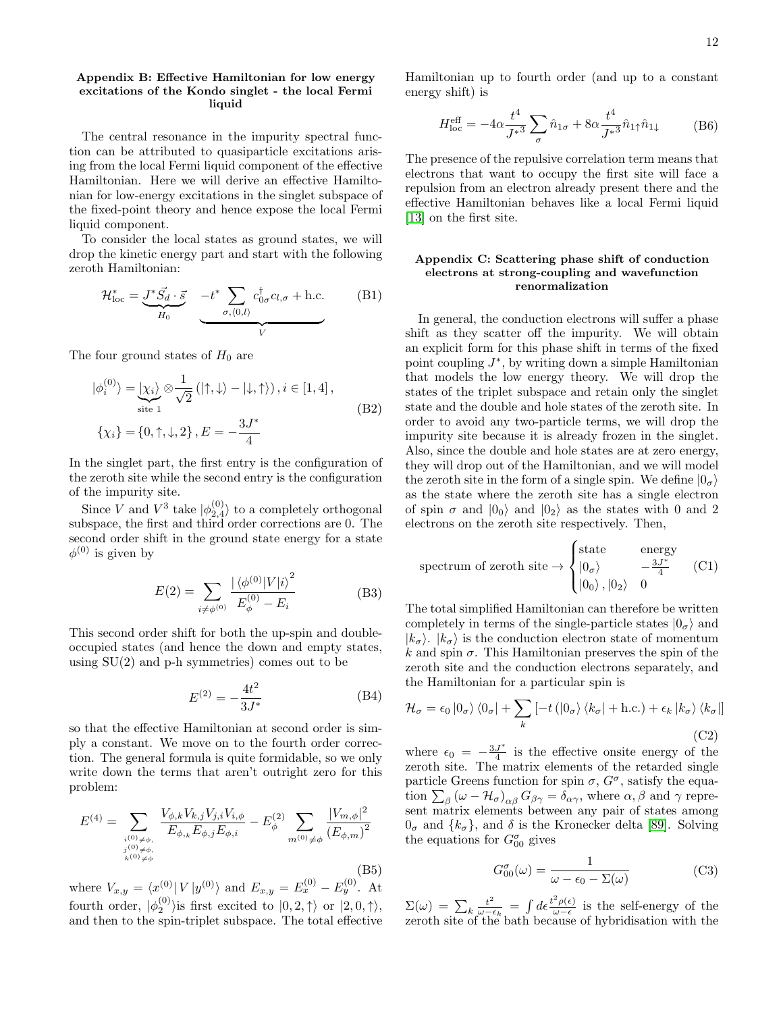#### <span id="page-11-0"></span>Appendix B: Effective Hamiltonian for low energy excitations of the Kondo singlet - the local Fermi liquid

The central resonance in the impurity spectral function can be attributed to quasiparticle excitations arising from the local Fermi liquid component of the effective Hamiltonian. Here we will derive an effective Hamiltonian for low-energy excitations in the singlet subspace of the fixed-point theory and hence expose the local Fermi liquid component.

To consider the local states as ground states, we will drop the kinetic energy part and start with the following zeroth Hamiltonian:

$$
\mathcal{H}_{\text{loc}}^* = \underbrace{\mathcal{J}^* \vec{S_d} \cdot \vec{s}}_{H_0} \underbrace{-t^* \sum_{\sigma,(0,l)} c_{0\sigma}^\dagger c_{l,\sigma} + \text{h.c.}}_{V} \tag{B1}
$$

The four ground states of  $H_0$  are

$$
|\phi_i^{(0)}\rangle = \underbrace{| \chi_i \rangle}_{\text{site 1}} \otimes \frac{1}{\sqrt{2}} (|\uparrow, \downarrow\rangle - |\downarrow, \uparrow\rangle), i \in [1, 4],
$$
  

$$
\{\chi_i\} = \{0, \uparrow, \downarrow, 2\}, E = -\frac{3J^*}{4}
$$
 (B2)

In the singlet part, the first entry is the configuration of the zeroth site while the second entry is the configuration of the impurity site.

Since V and  $V^3$  take  $|\phi_{2,4}^{(0)}\rangle$  to a completely orthogonal subspace, the first and third order corrections are 0. The second order shift in the ground state energy for a state  $\phi^{(0)}$  is given by

$$
E(2) = \sum_{i \neq \phi^{(0)}} \frac{|\langle \phi^{(0)} | V | i \rangle^2}{E_{\phi}^{(0)} - E_i}
$$
 (B3)

This second order shift for both the up-spin and doubleoccupied states (and hence the down and empty states, using  $SU(2)$  and p-h symmetries) comes out to be

$$
E^{(2)} = -\frac{4t^2}{3J^*}
$$
 (B4)

so that the effective Hamiltonian at second order is simply a constant. We move on to the fourth order correction. The general formula is quite formidable, so we only write down the terms that aren't outright zero for this problem:

$$
E^{(4)} = \sum_{\substack{i^{(0)} \neq \phi, \\ j^{(0)} \neq \phi, \\ k^{(0)} \neq \phi}} \frac{V_{\phi,k} V_{k,j} V_{j,i} V_{i,\phi}}{E_{\phi,k} E_{\phi,j} E_{\phi,i}} - E_{\phi}^{(2)} \sum_{m^{(0)} \neq \phi} \frac{|V_{m,\phi}|^2}{(E_{\phi,m})^2}
$$
(B5)

where  $V_{x,y} = \langle x^{(0)} | V | y^{(0)} \rangle$  and  $E_{x,y} = E_x^{(0)} - E_y^{(0)}$ . At fourth order,  $|\phi_2^{(0)}\rangle$  is first excited to  $|0, 2, \uparrow\rangle$  or  $|2, 0, \uparrow\rangle$ , and then to the spin-triplet subspace. The total effective

Hamiltonian up to fourth order (and up to a constant energy shift) is

$$
H_{\text{loc}}^{\text{eff}} = -4\alpha \frac{t^4}{J^{*3}} \sum_{\sigma} \hat{n}_{1\sigma} + 8\alpha \frac{t^4}{J^{*3}} \hat{n}_{1\uparrow} \hat{n}_{1\downarrow}
$$
 (B6)

The presence of the repulsive correlation term means that electrons that want to occupy the first site will face a repulsion from an electron already present there and the effective Hamiltonian behaves like a local Fermi liquid [\[13\]](#page-15-12) on the first site.

## <span id="page-11-1"></span>Appendix C: Scattering phase shift of conduction electrons at strong-coupling and wavefunction renormalization

In general, the conduction electrons will suffer a phase shift as they scatter off the impurity. We will obtain an explicit form for this phase shift in terms of the fixed point coupling  $J^*$ , by writing down a simple Hamiltonian that models the low energy theory. We will drop the states of the triplet subspace and retain only the singlet state and the double and hole states of the zeroth site. In order to avoid any two-particle terms, we will drop the impurity site because it is already frozen in the singlet. Also, since the double and hole states are at zero energy, they will drop out of the Hamiltonian, and we will model the zeroth site in the form of a single spin. We define  $|0_{\sigma}\rangle$ as the state where the zeroth site has a single electron of spin  $\sigma$  and  $|0_0\rangle$  and  $|0_2\rangle$  as the states with 0 and 2 electrons on the zeroth site respectively. Then,

$$
\text{spectrum of zeroth site} \rightarrow \begin{cases} \text{state} & \text{energy} \\ |0_{\sigma}\rangle & -\frac{3J^*}{4} \\ |0_0\rangle, |0_2\rangle & 0 \end{cases} \tag{C1}
$$

The total simplified Hamiltonian can therefore be written completely in terms of the single-particle states  $|0_{\sigma}\rangle$  and  $|k_{\sigma}\rangle$ .  $|k_{\sigma}\rangle$  is the conduction electron state of momentum k and spin  $\sigma$ . This Hamiltonian preserves the spin of the zeroth site and the conduction electrons separately, and the Hamiltonian for a particular spin is

$$
\mathcal{H}_{\sigma} = \epsilon_0 |0_{\sigma}\rangle \langle 0_{\sigma}| + \sum_{k} \left[ -t \left( |0_{\sigma}\rangle \langle k_{\sigma}| + \text{h.c.} \right) + \epsilon_k |k_{\sigma}\rangle \langle k_{\sigma}| \right]
$$
\n(C2)

where  $\epsilon_0 = -\frac{3J^*}{4}$  $\frac{J^*}{4}$  is the effective onsite energy of the zeroth site. The matrix elements of the retarded single particle Greens function for spin  $\sigma$ ,  $G^{\sigma}$ , satisfy the equation  $\sum_{\beta} (\omega - \mathcal{H}_{\sigma})_{\alpha\beta} G_{\beta\gamma} = \delta_{\alpha\gamma}$ , where  $\alpha, \beta$  and  $\gamma$  represent matrix elements between any pair of states among  $0_{\sigma}$  and  $\{k_{\sigma}\}\$ , and  $\delta$  is the Kronecker delta [\[89\]](#page-16-36). Solving the equations for  $G_{00}^{\sigma}$  gives

$$
G_{00}^{\sigma}(\omega) = \frac{1}{\omega - \epsilon_0 - \Sigma(\omega)}
$$
 (C3)

 $\Sigma(\omega) \, = \, \sum_{k} \frac{t^2}{\omega - \epsilon}$  $\frac{t^2}{\omega-\epsilon_k}=\int d\epsilon \frac{t^2\rho(\epsilon)}{\omega-\epsilon}$  $\frac{\rho(\epsilon)}{\omega-\epsilon}$  is the self-energy of the zeroth site of the bath because of hybridisation with the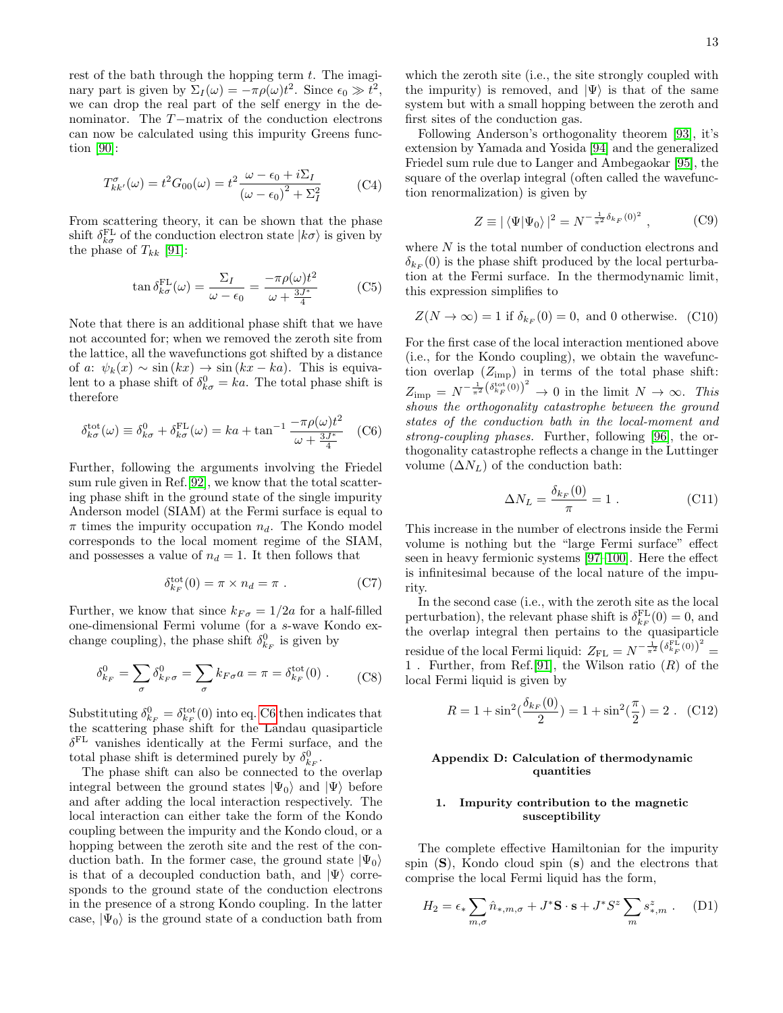rest of the bath through the hopping term  $t$ . The imaginary part is given by  $\Sigma_I(\omega) = -\pi \rho(\omega) t^2$ . Since  $\epsilon_0 \gg t^2$ , we can drop the real part of the self energy in the denominator. The T−matrix of the conduction electrons can now be calculated using this impurity Greens function [\[90\]](#page-16-37):

$$
T_{kk'}^{\sigma}(\omega) = t^2 G_{00}(\omega) = t^2 \frac{\omega - \epsilon_0 + i\Sigma_I}{(\omega - \epsilon_0)^2 + \Sigma_I^2}
$$
 (C4)

From scattering theory, it can be shown that the phase shift  $\delta_{k\sigma}^{\text{FL}}$  of the conduction electron state  $|k\sigma\rangle$  is given by the phase of  $T_{kk}$  [\[91\]](#page-16-38):

$$
\tan \delta_{k\sigma}^{\text{FL}}(\omega) = \frac{\Sigma_I}{\omega - \epsilon_0} = \frac{-\pi \rho(\omega) t^2}{\omega + \frac{3J^*}{4}} \tag{C5}
$$

Note that there is an additional phase shift that we have not accounted for; when we removed the zeroth site from the lattice, all the wavefunctions got shifted by a distance of a:  $\psi_k(x) \sim \sin(kx) \rightarrow \sin(kx - ka)$ . This is equivalent to a phase shift of  $\delta_{k\sigma}^0 = ka$ . The total phase shift is therefore

<span id="page-12-3"></span>
$$
\delta_{k\sigma}^{\text{tot}}(\omega) \equiv \delta_{k\sigma}^{0} + \delta_{k\sigma}^{\text{FL}}(\omega) = ka + \tan^{-1} \frac{-\pi \rho(\omega) t^{2}}{\omega + \frac{3J^{*}}{4}} \quad \text{(C6)}
$$

Further, following the arguments involving the Friedel sum rule given in Ref.[\[92\]](#page-16-39), we know that the total scattering phase shift in the ground state of the single impurity Anderson model (SIAM) at the Fermi surface is equal to  $\pi$  times the impurity occupation  $n_d$ . The Kondo model corresponds to the local moment regime of the SIAM, and possesses a value of  $n_d = 1$ . It then follows that

$$
\delta_{k_F}^{\rm tot}(0) = \pi \times n_d = \pi . \tag{C7}
$$

Further, we know that since  $k_{F\sigma} = 1/2a$  for a half-filled one-dimensional Fermi volume (for a s-wave Kondo exchange coupling), the phase shift  $\delta_{k_F}^0$  is given by

$$
\delta_{k_F}^0 = \sum_{\sigma} \delta_{k_F \sigma}^0 = \sum_{\sigma} k_{F \sigma} a = \pi = \delta_{k_F}^{\text{tot}}(0) . \tag{C8}
$$

Substituting  $\delta_{k_F}^0 = \delta_{k_F}^{\text{tot}}(0)$  into eq. [C6](#page-12-3) then indicates that the scattering phase shift for the Landau quasiparticle  $\delta^{\text{FL}}$  vanishes identically at the Fermi surface, and the total phase shift is determined purely by  $\delta_{k_F}^0$ .

The phase shift can also be connected to the overlap integral between the ground states  $|\Psi_0\rangle$  and  $|\Psi\rangle$  before and after adding the local interaction respectively. The local interaction can either take the form of the Kondo coupling between the impurity and the Kondo cloud, or a hopping between the zeroth site and the rest of the conduction bath. In the former case, the ground state  $|\Psi_0\rangle$ is that of a decoupled conduction bath, and  $|\Psi\rangle$  corresponds to the ground state of the conduction electrons in the presence of a strong Kondo coupling. In the latter case,  $|\Psi_0\rangle$  is the ground state of a conduction bath from

which the zeroth site (i.e., the site strongly coupled with the impurity) is removed, and  $|\Psi\rangle$  is that of the same system but with a small hopping between the zeroth and first sites of the conduction gas.

Following Anderson's orthogonality theorem [\[93\]](#page-16-40), it's extension by Yamada and Yosida [\[94\]](#page-16-41) and the generalized Friedel sum rule due to Langer and Ambegaokar [\[95\]](#page-16-42), the square of the overlap integral (often called the wavefunction renormalization) is given by

$$
Z \equiv |\langle \Psi | \Psi_0 \rangle|^2 = N^{-\frac{1}{\pi^2} \delta_{k_F}(0)^2} , \quad (C9)
$$

where  $N$  is the total number of conduction electrons and  $\delta_{k_F}(0)$  is the phase shift produced by the local perturbation at the Fermi surface. In the thermodynamic limit, this expression simplifies to

$$
Z(N \to \infty) = 1
$$
 if  $\delta_{k_F}(0) = 0$ , and 0 otherwise. (C10)

For the first case of the local interaction mentioned above (i.e., for the Kondo coupling), we obtain the wavefunction overlap  $(Z_{\text{imp}})$  in terms of the total phase shift:  $Z_{\text{imp}} = N^{-\frac{1}{\pi^2} (\delta_{k_F}^{\text{tot}}(0))^2} \to 0$  in the limit  $N \to \infty$ . This shows the orthogonality catastrophe between the ground states of the conduction bath in the local-moment and strong-coupling phases. Further, following [\[96\]](#page-16-43), the orthogonality catastrophe reflects a change in the Luttinger volume  $(\Delta N_L)$  of the conduction bath:

<span id="page-12-2"></span>
$$
\Delta N_L = \frac{\delta_{k_F}(0)}{\pi} = 1.
$$
\n(C11)

This increase in the number of electrons inside the Fermi volume is nothing but the "large Fermi surface" effect seen in heavy fermionic systems [\[97–](#page-16-44)[100\]](#page-16-45). Here the effect is infinitesimal because of the local nature of the impurity.

In the second case (i.e., with the zeroth site as the local perturbation), the relevant phase shift is  $\delta_{k_F}^{\text{FL}}(0) = 0$ , and the overlap integral then pertains to the quasiparticle residue of the local Fermi liquid:  $Z_{FL} = N^{-\frac{1}{\pi^2} (\delta_{k_F}^{FL}(0))^2}$ 1. Further, from Ref. [\[91\]](#page-16-38), the Wilson ratio  $(R)$  of the local Fermi liquid is given by

$$
R = 1 + \sin^2(\frac{\delta_{k_F}(0)}{2}) = 1 + \sin^2(\frac{\pi}{2}) = 2
$$
 (C12)

# Appendix D: Calculation of thermodynamic quantities

## <span id="page-12-0"></span>1. Impurity contribution to the magnetic susceptibility

The complete effective Hamiltonian for the impurity spin  $(S)$ , Kondo cloud spin  $(s)$  and the electrons that comprise the local Fermi liquid has the form,

<span id="page-12-1"></span>
$$
H_2 = \epsilon_* \sum_{m,\sigma} \hat{n}_{*,m,\sigma} + J^* \mathbf{S} \cdot \mathbf{s} + J^* S^z \sum_m s_{*,m}^z . \tag{D1}
$$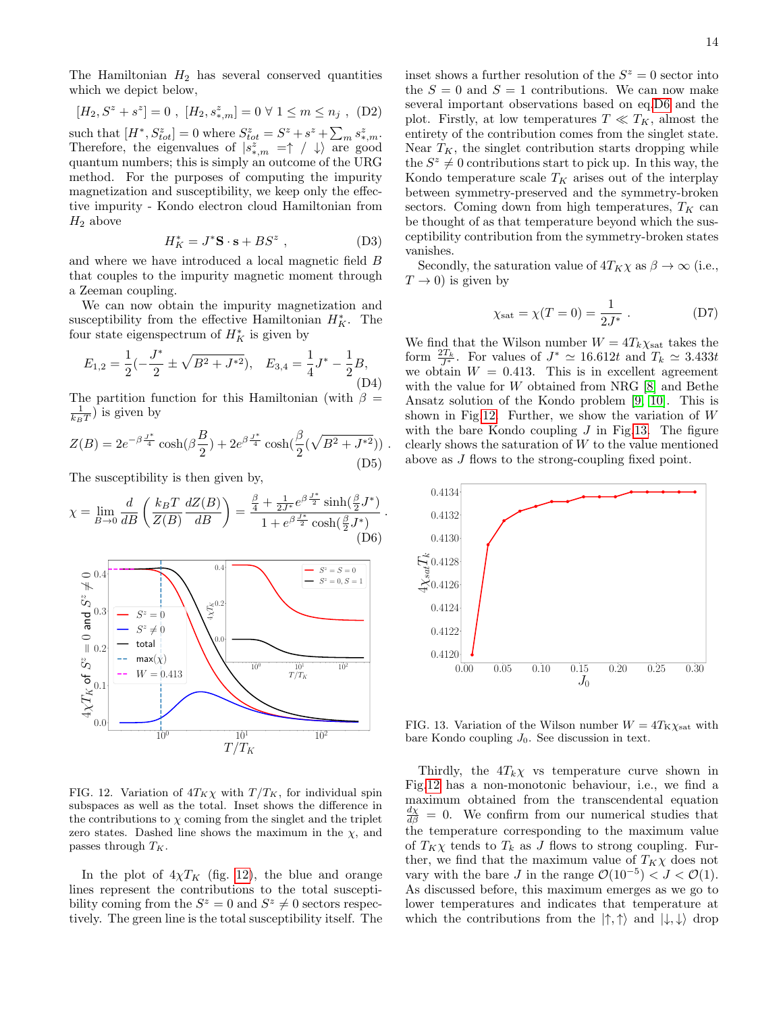The Hamiltonian  $H_2$  has several conserved quantities which we depict below,

$$
[H_2,S^z+s^z]=0\ ,\ [H_2,s_{*,m}^z]=0\ \forall\ 1\leq m\leq n_j\ ,\ (\mathrm{D}2)
$$

such that  $[H^*, S^z_{tot}] = 0$  where  $S^z_{tot} = S^z + s^z + \sum_m s^z_{*,m}$ . Therefore, the eigenvalues of  $|s^z_{*,m}| = \uparrow / \downarrow$  are good quantum numbers; this is simply an outcome of the URG method. For the purposes of computing the impurity magnetization and susceptibility, we keep only the effective impurity - Kondo electron cloud Hamiltonian from  $H_2$  above

$$
H_K^* = J^* \mathbf{S} \cdot \mathbf{s} + BS^z \ , \qquad (D3)
$$

and where we have introduced a local magnetic field B that couples to the impurity magnetic moment through a Zeeman coupling.

We can now obtain the impurity magnetization and susceptibility from the effective Hamiltonian  $H_K^*$ . The four state eigenspectrum of  $H_K^*$  is given by

$$
E_{1,2} = \frac{1}{2}(-\frac{J^*}{2} \pm \sqrt{B^2 + J^{*2}}), \quad E_{3,4} = \frac{1}{4}J^* - \frac{1}{2}B,
$$
\n(D4)

The partition function for this Hamiltonian (with  $\beta =$  $\frac{1}{k_BT}$ ) is given by

$$
Z(B) = 2e^{-\beta \frac{J^*}{4}} \cosh(\beta \frac{B}{2}) + 2e^{\beta \frac{J^*}{4}} \cosh(\frac{\beta}{2}(\sqrt{B^2 + J^{*2}}))
$$
(D5)

The susceptibility is then given by,

<span id="page-13-2"></span>
$$
\chi = \lim_{B \to 0} \frac{d}{dB} \left( \frac{k_B T}{Z(B)} \frac{dZ(B)}{dB} \right) = \frac{\frac{\beta}{4} + \frac{1}{2J^*} e^{\beta \frac{J^*}{2}} \sinh(\frac{\beta}{2} J^*)}{1 + e^{\beta \frac{J^*}{2}} \cosh(\frac{\beta}{2} J^*)}.
$$
\n(D6)



<span id="page-13-1"></span>FIG. 12. Variation of  $4T_K\chi$  with  $T/T_K$ , for individual spin subspaces as well as the total. Inset shows the difference in the contributions to  $\chi$  coming from the singlet and the triplet zero states. Dashed line shows the maximum in the  $\chi$ , and passes through  $T_K$ .

In the plot of  $4\chi T_K$  (fig. [12\)](#page-13-1), the blue and orange lines represent the contributions to the total susceptibility coming from the  $S^z = 0$  and  $S^z \neq 0$  sectors respectively. The green line is the total susceptibility itself. The

inset shows a further resolution of the  $S^z = 0$  sector into the  $S = 0$  and  $S = 1$  contributions. We can now make several important observations based on eq[.D6](#page-13-2) and the plot. Firstly, at low temperatures  $T \ll T_K$ , almost the entirety of the contribution comes from the singlet state. Near  $T_K$ , the singlet contribution starts dropping while the  $S^z \neq 0$  contributions start to pick up. In this way, the Kondo temperature scale  $T_K$  arises out of the interplay between symmetry-preserved and the symmetry-broken sectors. Coming down from high temperatures,  $T_K$  can be thought of as that temperature beyond which the susceptibility contribution from the symmetry-broken states vanishes.

Secondly, the saturation value of  $4T_K\chi$  as  $\beta \to \infty$  (i.e.,  $T \rightarrow 0$ ) is given by

$$
\chi_{\text{sat}} = \chi(T = 0) = \frac{1}{2J^*}.
$$
 (D7)

We find that the Wilson number  $W = 4T_k \chi_{\text{sat}}$  takes the form  $\frac{2T_k}{J^*}$ . For values of  $J^* \simeq 16.612t$  and  $T_k \simeq 3.433t$ we obtain  $W = 0.413$ . This is in excellent agreement with the value for W obtained from NRG [\[8\]](#page-15-7) and Bethe Ansatz solution of the Kondo problem [\[9,](#page-15-8) [10\]](#page-15-9). This is shown in Fig[.12.](#page-13-1) Further, we show the variation of  $W$ with the bare Kondo coupling  $J$  in Fig[.13.](#page-13-0) The figure clearly shows the saturation of  $W$  to the value mentioned above as J flows to the strong-coupling fixed point.



<span id="page-13-0"></span>FIG. 13. Variation of the Wilson number  $W = 4T_{\text{K}}\chi_{\text{sat}}$  with bare Kondo coupling  $J_0$ . See discussion in text.

Thirdly, the  $4T_k\chi$  vs temperature curve shown in Fig[.12](#page-13-1) has a non-monotonic behaviour, i.e., we find a maximum obtained from the transcendental equation  $\frac{dx}{d\beta} = 0$ . We confirm from our numerical studies that the temperature corresponding to the maximum value of  $T_K\chi$  tends to  $T_k$  as J flows to strong coupling. Further, we find that the maximum value of  $T_K\chi$  does not vary with the bare J in the range  $\mathcal{O}(10^{-5}) < J < \mathcal{O}(1)$ . As discussed before, this maximum emerges as we go to lower temperatures and indicates that temperature at which the contributions from the  $|\uparrow,\uparrow\rangle$  and  $|\downarrow,\downarrow\rangle$  drop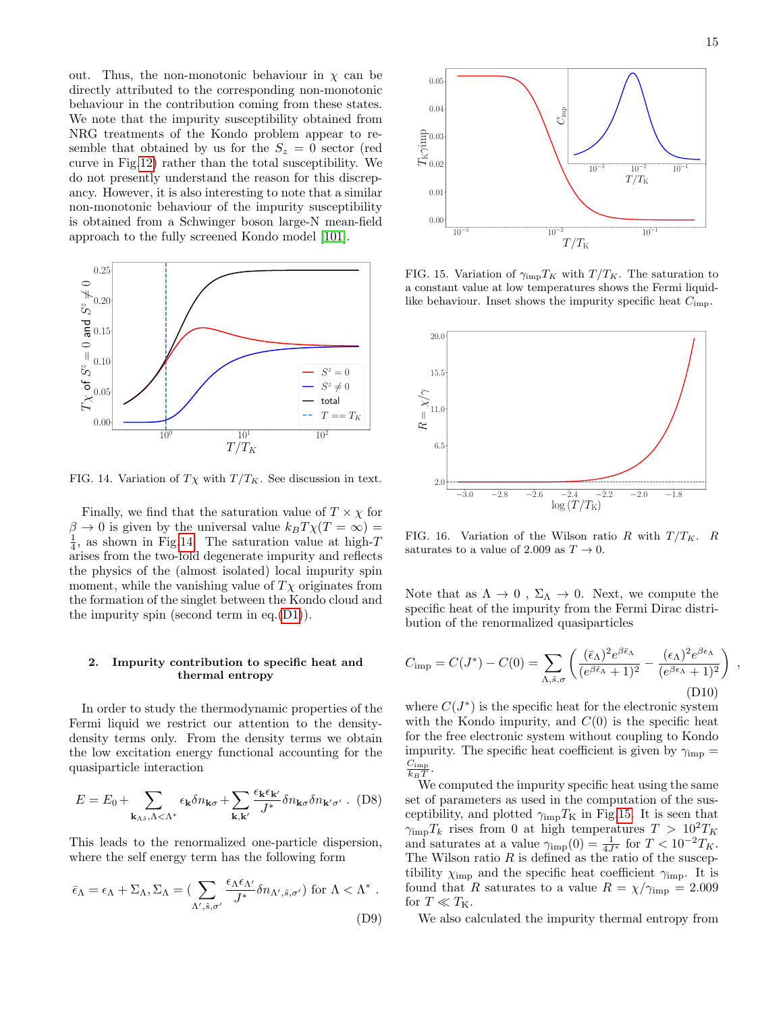out. Thus, the non-monotonic behaviour in  $\chi$  can be directly attributed to the corresponding non-monotonic behaviour in the contribution coming from these states. We note that the impurity susceptibility obtained from NRG treatments of the Kondo problem appear to resemble that obtained by us for the  $S_z = 0$  sector (red curve in Fig[.12\)](#page-13-1) rather than the total susceptibility. We do not presently understand the reason for this discrepancy. However, it is also interesting to note that a similar non-monotonic behaviour of the impurity susceptibility is obtained from a Schwinger boson large-N mean-field approach to the fully screened Kondo model [\[101\]](#page-16-46).



<span id="page-14-2"></span>FIG. 14. Variation of  $T\chi$  with  $T/T_K$ . See discussion in text.

Finally, we find that the saturation value of  $T \times \chi$  for  $\beta \to 0$  is given by the universal value  $k_BT\chi(T=\infty)$  =  $\frac{1}{4}$ , as shown in Fig[.14.](#page-14-2) The saturation value at high-T arises from the two-fold degenerate impurity and reflects the physics of the (almost isolated) local impurity spin moment, while the vanishing value of  $T\chi$  originates from the formation of the singlet between the Kondo cloud and the impurity spin (second term in eq.[\(D1\)](#page-12-1)).

## <span id="page-14-0"></span>2. Impurity contribution to specific heat and thermal entropy

In order to study the thermodynamic properties of the Fermi liquid we restrict our attention to the densitydensity terms only. From the density terms we obtain the low excitation energy functional accounting for the quasiparticle interaction

<span id="page-14-1"></span>
$$
E = E_0 + \sum_{\mathbf{k}_{\Lambda\hat{s}},\Lambda<\Lambda^*} \epsilon_{\mathbf{k}} \delta n_{\mathbf{k}\sigma} + \sum_{\mathbf{k},\mathbf{k}'} \frac{\epsilon_{\mathbf{k}} \epsilon_{\mathbf{k}'}}{J^*} \delta n_{\mathbf{k}\sigma} \delta n_{\mathbf{k}'\sigma'} .
$$
 (D8)

This leads to the renormalized one-particle dispersion, where the self energy term has the following form

$$
\bar{\epsilon}_{\Lambda} = \epsilon_{\Lambda} + \Sigma_{\Lambda}, \Sigma_{\Lambda} = \left( \sum_{\Lambda', \hat{s}, \sigma'} \frac{\epsilon_{\Lambda} \epsilon_{\Lambda'}}{J^*} \delta n_{\Lambda', \hat{s}, \sigma'} \right) \text{ for } \Lambda < \Lambda^* .
$$
\n(D9)



<span id="page-14-3"></span>FIG. 15. Variation of  $\gamma_{\text{imp}}T_K$  with  $T/T_K$ . The saturation to a constant value at low temperatures shows the Fermi liquidlike behaviour. Inset shows the impurity specific heat  $C_{\rm imp}.$ 



FIG. 16. Variation of the Wilson ratio R with  $T/T_K$ . R saturates to a value of 2.009 as  $T \to 0$ .

Note that as  $\Lambda \to 0$ ,  $\Sigma_{\Lambda} \to 0$ . Next, we compute the specific heat of the impurity from the Fermi Dirac distribution of the renormalized quasiparticles

$$
C_{\rm imp} = C(J^*) - C(0) = \sum_{\Lambda, \hat{s}, \sigma} \left( \frac{(\bar{\epsilon}_{\Lambda})^2 e^{\beta \bar{\epsilon}_{\Lambda}}}{(e^{\beta \bar{\epsilon}_{\Lambda}} + 1)^2} - \frac{(\epsilon_{\Lambda})^2 e^{\beta \epsilon_{\Lambda}}}{(e^{\beta \epsilon_{\Lambda}} + 1)^2} \right) ,
$$
\n(D10)

where  $C(J^*)$  is the specific heat for the electronic system with the Kondo impurity, and  $C(0)$  is the specific heat for the free electronic system without coupling to Kondo impurity. The specific heat coefficient is given by  $\gamma_{\rm imp} =$  $C_{\rm imp}$  $\frac{C_{\rm imp}}{k_BT}$ .

We computed the impurity specific heat using the same set of parameters as used in the computation of the susceptibility, and plotted  $\gamma_{\rm imp}T_{\rm K}$  in Fig[.15.](#page-14-3) It is seen that  $\gamma_{\text{imp}}T_k$  rises from 0 at high temperatures  $T > 10^2 T_K$ and saturates at a value  $\gamma_{\rm imp}(0) = \frac{1}{4J^*}$  for  $T < 10^{-2}T_K$ . The Wilson ratio  $R$  is defined as the ratio of the susceptibility  $\chi_{\text{imp}}$  and the specific heat coefficient  $\gamma_{\text{imp}}$ . It is found that R saturates to a value  $R = \chi/\gamma_{\rm imp} = 2.009$ for  $T\ll T_{\rm K}.$ 

We also calculated the impurity thermal entropy from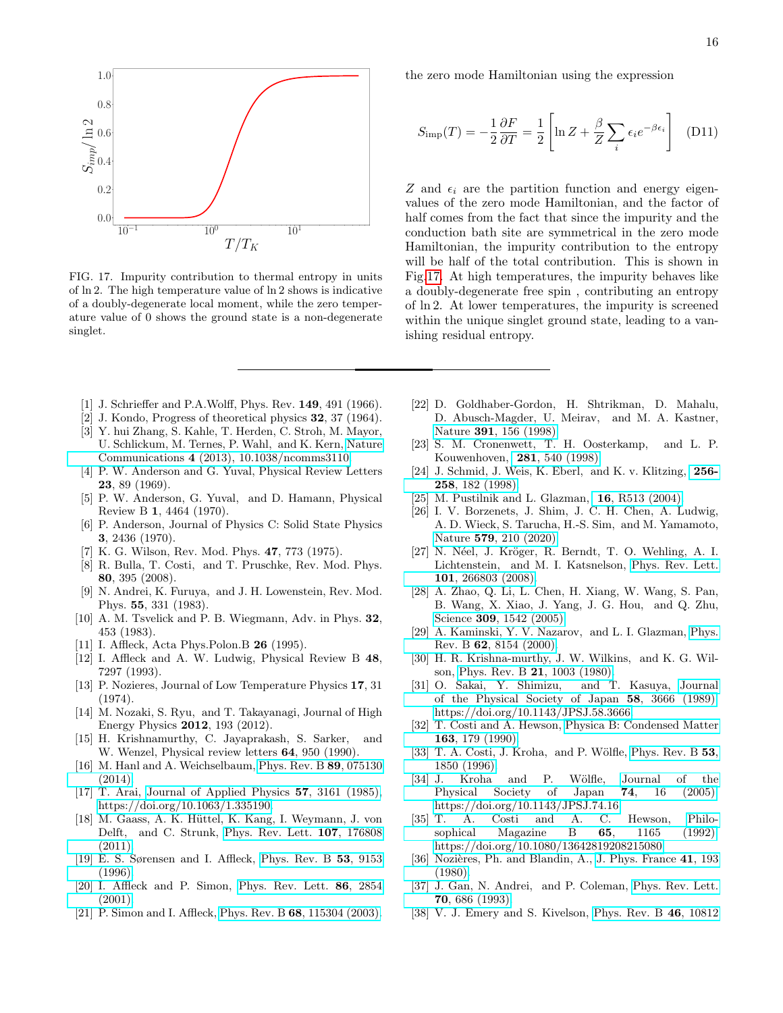

<span id="page-15-30"></span>FIG. 17. Impurity contribution to thermal entropy in units of ln 2. The high temperature value of ln 2 shows is indicative of a doubly-degenerate local moment, while the zero temperature value of 0 shows the ground state is a non-degenerate singlet.

- <span id="page-15-0"></span>[1] J. Schrieffer and P.A.Wolff, Phys. Rev. **149**, 491 (1966).
- <span id="page-15-1"></span>[2] J. Kondo, Progress of theoretical physics 32, 37 (1964).
- <span id="page-15-2"></span>[3] Y. hui Zhang, S. Kahle, T. Herden, C. Stroh, M. Mayor, U. Schlickum, M. Ternes, P. Wahl, and K. Kern, [Nature](https://doi.org/10.1038/ncomms3110) Communications 4 [\(2013\), 10.1038/ncomms3110.](https://doi.org/10.1038/ncomms3110)
- <span id="page-15-3"></span>[4] P. W. Anderson and G. Yuval, Physical Review Letters 23, 89 (1969).
- <span id="page-15-4"></span>[5] P. W. Anderson, G. Yuval, and D. Hamann, Physical Review B 1, 4464 (1970).
- <span id="page-15-5"></span>[6] P. Anderson, Journal of Physics C: Solid State Physics 3, 2436 (1970).
- <span id="page-15-6"></span>[7] K. G. Wilson, Rev. Mod. Phys. 47, 773 (1975).
- <span id="page-15-7"></span>[8] R. Bulla, T. Costi, and T. Pruschke, Rev. Mod. Phys. 80, 395 (2008).
- <span id="page-15-8"></span>[9] N. Andrei, K. Furuya, and J. H. Lowenstein, Rev. Mod. Phys. 55, 331 (1983).
- <span id="page-15-9"></span>[10] A. M. Tsvelick and P. B. Wiegmann, Adv. in Phys. 32, 453 (1983).
- <span id="page-15-10"></span>[11] I. Affleck, Acta Phys.Polon.B 26 (1995).
- <span id="page-15-11"></span>[12] I. Affleck and A. W. Ludwig, Physical Review B 48, 7297 (1993).
- <span id="page-15-12"></span>[13] P. Nozieres, Journal of Low Temperature Physics 17, 31 (1974).
- <span id="page-15-13"></span>[14] M. Nozaki, S. Ryu, and T. Takayanagi, Journal of High Energy Physics 2012, 193 (2012).
- <span id="page-15-14"></span>[15] H. Krishnamurthy, C. Jayaprakash, S. Sarker, and W. Wenzel, Physical review letters 64, 950 (1990).
- [16] M. Hanl and A. Weichselbaum, [Phys. Rev. B](https://doi.org/10.1103/PhysRevB.89.075130) 89, 075130 [\(2014\).](https://doi.org/10.1103/PhysRevB.89.075130)
- [17] T. Arai, [Journal of Applied Physics](https://doi.org/10.1063/1.335190) 57, 3161 (1985), [https://doi.org/10.1063/1.335190.](http://arxiv.org/abs/https://doi.org/10.1063/1.335190)
- <span id="page-15-15"></span>[18] M. Gaass, A. K. Hüttel, K. Kang, I. Weymann, J. von Delft, and C. Strunk, [Phys. Rev. Lett.](https://doi.org/ 10.1103/PhysRevLett.107.176808) 107, 176808 [\(2011\).](https://doi.org/ 10.1103/PhysRevLett.107.176808)
- <span id="page-15-16"></span>[19] E. S. Sørensen and I. Affleck, [Phys. Rev. B](https://doi.org/10.1103/PhysRevB.53.9153) 53, 9153 [\(1996\).](https://doi.org/10.1103/PhysRevB.53.9153)
- [20] I. Affleck and P. Simon, [Phys. Rev. Lett.](https://doi.org/10.1103/PhysRevLett.86.2854) 86, 2854 [\(2001\).](https://doi.org/10.1103/PhysRevLett.86.2854)
- <span id="page-15-17"></span>[21] P. Simon and I. Affleck, Phys. Rev. B 68[, 115304 \(2003\).](https://doi.org/10.1103/PhysRevB.68.115304)

the zero mode Hamiltonian using the expression

$$
S_{\rm imp}(T) = -\frac{1}{2} \frac{\partial F}{\partial T} = \frac{1}{2} \left[ \ln Z + \frac{\beta}{Z} \sum_i \epsilon_i e^{-\beta \epsilon_i} \right]
$$
 (D11)

Z and  $\epsilon_i$  are the partition function and energy eigenvalues of the zero mode Hamiltonian, and the factor of half comes from the fact that since the impurity and the conduction bath site are symmetrical in the zero mode Hamiltonian, the impurity contribution to the entropy will be half of the total contribution. This is shown in Fig[.17.](#page-15-30) At high temperatures, the impurity behaves like a doubly-degenerate free spin , contributing an entropy of ln 2. At lower temperatures, the impurity is screened within the unique singlet ground state, leading to a vanishing residual entropy.

- <span id="page-15-18"></span>[22] D. Goldhaber-Gordon, H. Shtrikman, D. Mahalu, D. Abusch-Magder, U. Meirav, and M. A. Kastner, Nature 391[, 156 \(1998\).](https://doi.org/ 10.1038/34373)
- [23] S. M. Cronenwett, T. H. Oosterkamp, and L. P. Kouwenhoven, 281[, 540 \(1998\).](https://doi.org/10.1126/science.281.5376.540)
- [24] J. Schmid, J. Weis, K. Eberl, and K. v. Klitzing, [256-](https://doi.org/ 10.1016/s0921-4526(98)00533-x) 258[, 182 \(1998\).](https://doi.org/ 10.1016/s0921-4526(98)00533-x)
- [25] M. Pustilnik and L. Glazman, 16[, R513 \(2004\).](https://doi.org/10.1088/0953-8984/16/16/r01)
- <span id="page-15-19"></span>[26] I. V. Borzenets, J. Shim, J. C. H. Chen, A. Ludwig, A. D. Wieck, S. Tarucha, H.-S. Sim, and M. Yamamoto, Nature 579[, 210 \(2020\).](https://doi.org/10.1038/s41586-020-2058-6)
- <span id="page-15-20"></span>[27] N. Néel, J. Kröger, R. Berndt, T. O. Wehling, A. I. Lichtenstein, and M. I. Katsnelson, [Phys. Rev. Lett.](https://doi.org/10.1103/PhysRevLett.101.266803) 101[, 266803 \(2008\).](https://doi.org/10.1103/PhysRevLett.101.266803)
- <span id="page-15-21"></span>[28] A. Zhao, Q. Li, L. Chen, H. Xiang, W. Wang, S. Pan, B. Wang, X. Xiao, J. Yang, J. G. Hou, and Q. Zhu, Science **309**[, 1542 \(2005\).](https://doi.org/10.1126/science.1113449)
- <span id="page-15-22"></span>[29] A. Kaminski, Y. V. Nazarov, and L. I. Glazman, [Phys.](https://doi.org/10.1103/PhysRevB.62.8154) Rev. B 62[, 8154 \(2000\).](https://doi.org/10.1103/PhysRevB.62.8154)
- <span id="page-15-23"></span>[30] H. R. Krishna-murthy, J. W. Wilkins, and K. G. Wilson, Phys. Rev. B 21[, 1003 \(1980\).](https://doi.org/10.1103/PhysRevB.21.1003)
- <span id="page-15-24"></span>[31] O. Sakai, Y. Shimizu, and T. Kasuya, [Journal](https://doi.org/10.1143/JPSJ.58.3666) [of the Physical Society of Japan](https://doi.org/10.1143/JPSJ.58.3666) 58, 3666 (1989), [https://doi.org/10.1143/JPSJ.58.3666.](http://arxiv.org/abs/https://doi.org/10.1143/JPSJ.58.3666)
- <span id="page-15-25"></span>[32] T. Costi and A. Hewson, [Physica B: Condensed Matter](https://doi.org/https://doi.org/10.1016/0921-4526(90)90161-M) 163[, 179 \(1990\).](https://doi.org/https://doi.org/10.1016/0921-4526(90)90161-M)
- <span id="page-15-26"></span>[33] T. A. Costi, J. Kroha, and P. Wölfle, [Phys. Rev. B](https://doi.org/10.1103/PhysRevB.53.1850)  $53$ , [1850 \(1996\).](https://doi.org/10.1103/PhysRevB.53.1850)
- <span id="page-15-27"></span>[34] J. Kroha and P. Wölfle, [Journal of the](https://doi.org/10.1143/JPSJ.74.16) [Physical Society of Japan](https://doi.org/10.1143/JPSJ.74.16) 74, 16 (2005), [https://doi.org/10.1143/JPSJ.74.16.](http://arxiv.org/abs/https://doi.org/10.1143/JPSJ.74.16)
- <span id="page-15-28"></span>[35] T. A. Costi and A. C. Hewson, [Philo](https://doi.org/10.1080/13642819208215080)[sophical Magazine B](https://doi.org/10.1080/13642819208215080) 65, 1165 (1992), [https://doi.org/10.1080/13642819208215080.](http://arxiv.org/abs/https://doi.org/10.1080/13642819208215080)
- <span id="page-15-29"></span>[36] Nozières, Ph. and Blandin, A., [J. Phys. France](https://doi.org/ 10.1051/jphys:01980004103019300)  $41$ , 193 [\(1980\).](https://doi.org/ 10.1051/jphys:01980004103019300)
- [37] J. Gan, N. Andrei, and P. Coleman, [Phys. Rev. Lett.](https://doi.org/10.1103/PhysRevLett.70.686) 70[, 686 \(1993\).](https://doi.org/10.1103/PhysRevLett.70.686)
- [38] V. J. Emery and S. Kivelson, [Phys. Rev. B](https://doi.org/10.1103/PhysRevB.46.10812) 46, 10812